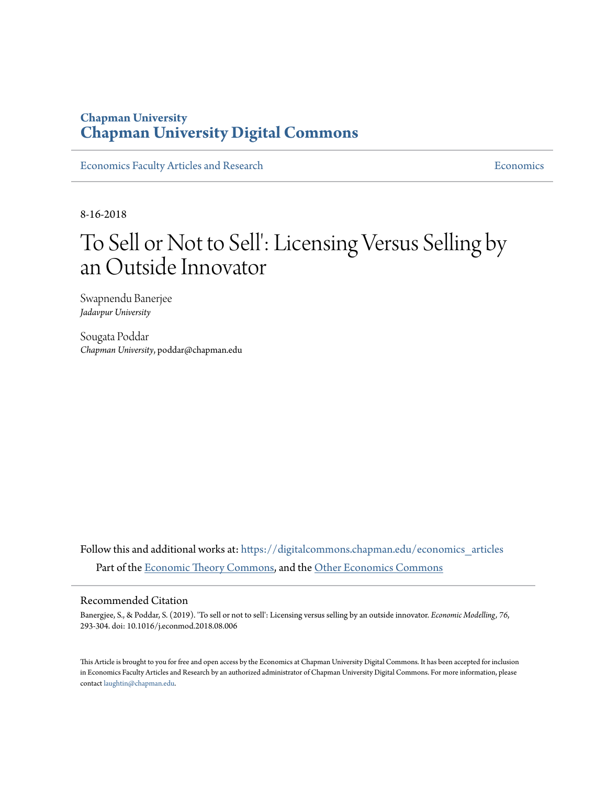# **Chapman University [Chapman University Digital Commons](https://digitalcommons.chapman.edu?utm_source=digitalcommons.chapman.edu%2Feconomics_articles%2F222&utm_medium=PDF&utm_campaign=PDFCoverPages)**

[Economics Faculty Articles and Research](https://digitalcommons.chapman.edu/economics_articles?utm_source=digitalcommons.chapman.edu%2Feconomics_articles%2F222&utm_medium=PDF&utm_campaign=PDFCoverPages) **[Economics](https://digitalcommons.chapman.edu/economics?utm_source=digitalcommons.chapman.edu%2Feconomics_articles%2F222&utm_medium=PDF&utm_campaign=PDFCoverPages)** Economics

8-16-2018

# To Sell or Not to Sell': Licensing Versus Selling by an Outside Innovator

Swapnendu Banerjee *Jadavpur University*

Sougata Poddar *Chapman University*, poddar@chapman.edu

Follow this and additional works at: [https://digitalcommons.chapman.edu/economics\\_articles](https://digitalcommons.chapman.edu/economics_articles?utm_source=digitalcommons.chapman.edu%2Feconomics_articles%2F222&utm_medium=PDF&utm_campaign=PDFCoverPages) Part of the [Economic Theory Commons,](http://network.bepress.com/hgg/discipline/344?utm_source=digitalcommons.chapman.edu%2Feconomics_articles%2F222&utm_medium=PDF&utm_campaign=PDFCoverPages) and the [Other Economics Commons](http://network.bepress.com/hgg/discipline/353?utm_source=digitalcommons.chapman.edu%2Feconomics_articles%2F222&utm_medium=PDF&utm_campaign=PDFCoverPages)

#### Recommended Citation

Banergjee, S., & Poddar, S. (2019). 'To sell or not to sell': Licensing versus selling by an outside innovator. *Economic Modelling, 76*, 293-304. doi: 10.1016/j.econmod.2018.08.006

This Article is brought to you for free and open access by the Economics at Chapman University Digital Commons. It has been accepted for inclusion in Economics Faculty Articles and Research by an authorized administrator of Chapman University Digital Commons. For more information, please contact [laughtin@chapman.edu](mailto:laughtin@chapman.edu).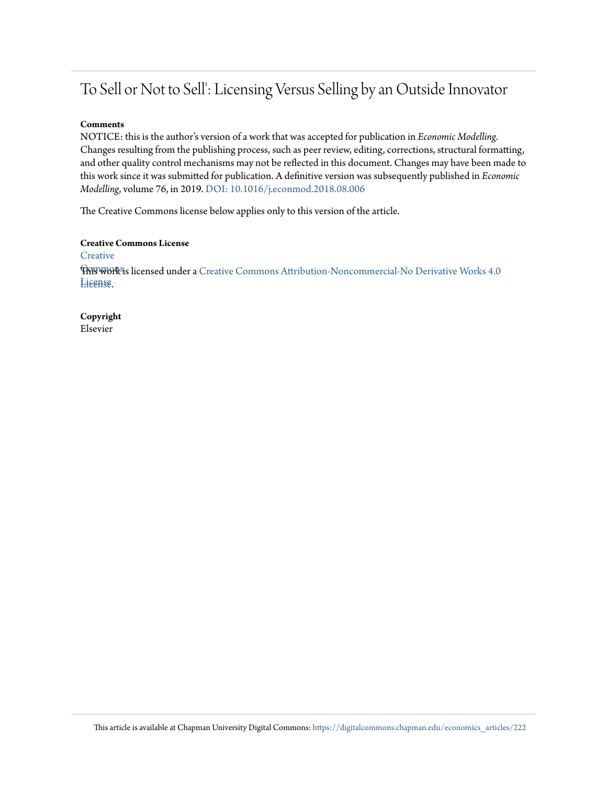# To Sell or Not to Sell': Licensing Versus Selling by an Outside Innovator

#### **Comments**

NOTICE: this is the author's version of a work that was accepted for publication in *Economic Modelling*. Changes resulting from the publishing process, such as peer review, editing, corrections, structural formatting, and other quality control mechanisms may not be reflected in this document. Changes may have been made to this work since it was submitted for publication. A definitive version was subsequently published in *Economic Modelling*, volume 76, in 2019. [DOI: 10.1016/j.econmod.2018.08.006](https://doi.org/10.1016/j.econmod.2018.08.006)

The Creative Commons license below applies only to this version of the article.

#### **Creative Commons License**

**[Creative](https://creativecommons.org/licenses/by-nc-nd/4.0/)** 

**This work is licensed under a** [Creative Commons Attribution-Noncommercial-No Derivative Works 4.0](https://creativecommons.org/licenses/by-nc-nd/4.0/) License [License.](https://creativecommons.org/licenses/by-nc-nd/4.0/)

**Copyright** Elsevier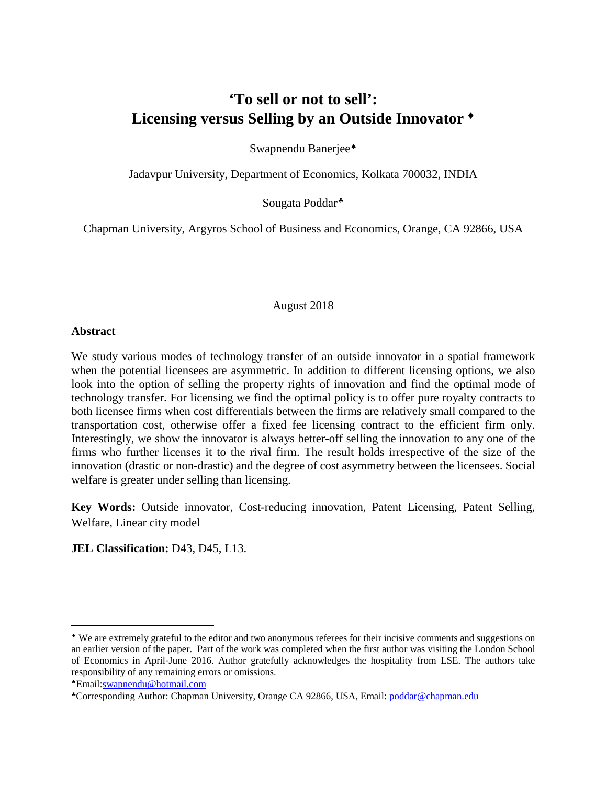# **'To sell or not to sell': Licensing versus Selling by an Outside Innovator** [♦](#page-2-0)

Swapnendu Banerjee[♠](#page-2-1)

Jadavpur University, Department of Economics, Kolkata 700032, INDIA

Sougata Poddar[♣](#page-2-2)

Chapman University, Argyros School of Business and Economics, Orange, CA 92866, USA

#### August 2018

#### **Abstract**

l

We study various modes of technology transfer of an outside innovator in a spatial framework when the potential licensees are asymmetric. In addition to different licensing options, we also look into the option of selling the property rights of innovation and find the optimal mode of technology transfer. For licensing we find the optimal policy is to offer pure royalty contracts to both licensee firms when cost differentials between the firms are relatively small compared to the transportation cost, otherwise offer a fixed fee licensing contract to the efficient firm only. Interestingly, we show the innovator is always better-off selling the innovation to any one of the firms who further licenses it to the rival firm. The result holds irrespective of the size of the innovation (drastic or non-drastic) and the degree of cost asymmetry between the licensees. Social welfare is greater under selling than licensing.

**Key Words:** Outside innovator, Cost-reducing innovation, Patent Licensing, Patent Selling, Welfare, Linear city model

**JEL Classification: D43, D45, L13.** 

<span id="page-2-0"></span><sup>♦</sup> We are extremely grateful to the editor and two anonymous referees for their incisive comments and suggestions on an earlier version of the paper. Part of the work was completed when the first author was visiting the London School of Economics in April-June 2016. Author gratefully acknowledges the hospitality from LSE. The authors take responsibility of any remaining errors or omissions.

<span id="page-2-1"></span><sup>♠</sup>Email[:swapnendu@hotmail.com](mailto:swapnendu@hotmail.com)

<span id="page-2-2"></span><sup>♣</sup>Corresponding Author: Chapman University, Orange CA 92866, USA, Email: [poddar@chapman.edu](mailto:poddar@chapman.edu)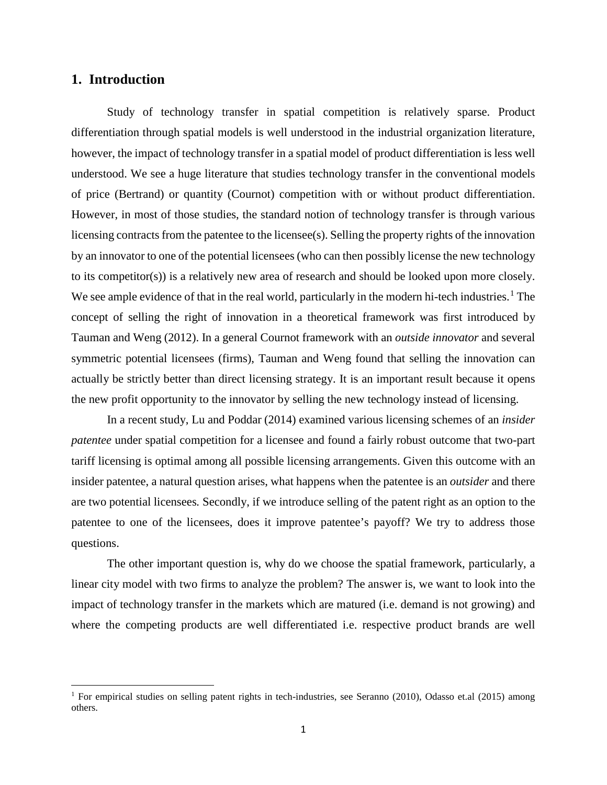## **1. Introduction**

l

Study of technology transfer in spatial competition is relatively sparse. Product differentiation through spatial models is well understood in the industrial organization literature, however, the impact of technology transfer in a spatial model of product differentiation is less well understood. We see a huge literature that studies technology transfer in the conventional models of price (Bertrand) or quantity (Cournot) competition with or without product differentiation. However, in most of those studies, the standard notion of technology transfer is through various licensing contracts from the patentee to the licensee(s). Selling the property rights of the innovation by an innovator to one of the potential licensees (who can then possibly license the new technology to its competitor(s)) is a relatively new area of research and should be looked upon more closely. We see ample evidence of that in the real world, particularly in the modern hi-tech industries.<sup>[1](#page-3-0)</sup> The concept of selling the right of innovation in a theoretical framework was first introduced by Tauman and Weng (2012). In a general Cournot framework with an *outside innovator* and several symmetric potential licensees (firms), Tauman and Weng found that selling the innovation can actually be strictly better than direct licensing strategy. It is an important result because it opens the new profit opportunity to the innovator by selling the new technology instead of licensing.

In a recent study, Lu and Poddar (2014) examined various licensing schemes of an *insider patentee* under spatial competition for a licensee and found a fairly robust outcome that two-part tariff licensing is optimal among all possible licensing arrangements. Given this outcome with an insider patentee, a natural question arises, what happens when the patentee is an *outsider* and there are two potential licensees*.* Secondly, if we introduce selling of the patent right as an option to the patentee to one of the licensees, does it improve patentee's payoff? We try to address those questions.

The other important question is, why do we choose the spatial framework, particularly, a linear city model with two firms to analyze the problem? The answer is, we want to look into the impact of technology transfer in the markets which are matured (i.e. demand is not growing) and where the competing products are well differentiated i.e. respective product brands are well

<span id="page-3-0"></span><sup>&</sup>lt;sup>1</sup> For empirical studies on selling patent rights in tech-industries, see Seranno (2010), Odasso et.al (2015) among others.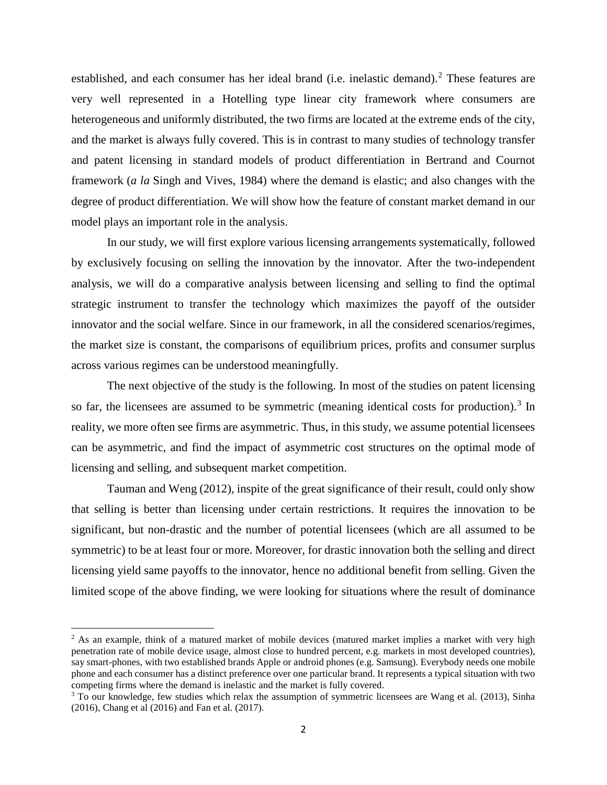established, and each consumer has her ideal brand (i.e. inelastic demand).<sup>[2](#page-4-0)</sup> These features are very well represented in a Hotelling type linear city framework where consumers are heterogeneous and uniformly distributed, the two firms are located at the extreme ends of the city, and the market is always fully covered. This is in contrast to many studies of technology transfer and patent licensing in standard models of product differentiation in Bertrand and Cournot framework (*a la* Singh and Vives, 1984) where the demand is elastic; and also changes with the degree of product differentiation. We will show how the feature of constant market demand in our model plays an important role in the analysis.

In our study, we will first explore various licensing arrangements systematically, followed by exclusively focusing on selling the innovation by the innovator. After the two-independent analysis, we will do a comparative analysis between licensing and selling to find the optimal strategic instrument to transfer the technology which maximizes the payoff of the outsider innovator and the social welfare. Since in our framework, in all the considered scenarios/regimes, the market size is constant, the comparisons of equilibrium prices, profits and consumer surplus across various regimes can be understood meaningfully.

The next objective of the study is the following. In most of the studies on patent licensing so far, the licensees are assumed to be symmetric (meaning identical costs for production).<sup>[3](#page-4-1)</sup> In reality, we more often see firms are asymmetric. Thus, in this study, we assume potential licensees can be asymmetric, and find the impact of asymmetric cost structures on the optimal mode of licensing and selling, and subsequent market competition.

Tauman and Weng (2012), inspite of the great significance of their result, could only show that selling is better than licensing under certain restrictions. It requires the innovation to be significant, but non-drastic and the number of potential licensees (which are all assumed to be symmetric) to be at least four or more. Moreover, for drastic innovation both the selling and direct licensing yield same payoffs to the innovator, hence no additional benefit from selling. Given the limited scope of the above finding, we were looking for situations where the result of dominance

l

<span id="page-4-0"></span><sup>&</sup>lt;sup>2</sup> As an example, think of a matured market of mobile devices (matured market implies a market with very high penetration rate of mobile device usage, almost close to hundred percent, e.g. markets in most developed countries), say smart-phones, with two established brands Apple or android phones (e.g. Samsung). Everybody needs one mobile phone and each consumer has a distinct preference over one particular brand. It represents a typical situation with two competing firms where the demand is inelastic and the market is fully covered.<br><sup>3</sup> To our knowledge, few studies which relax the assumption of symmetric licensees are Wang et al. (2013), Sinha

<span id="page-4-1"></span><sup>(2016),</sup> Chang et al (2016) and Fan et al. (2017).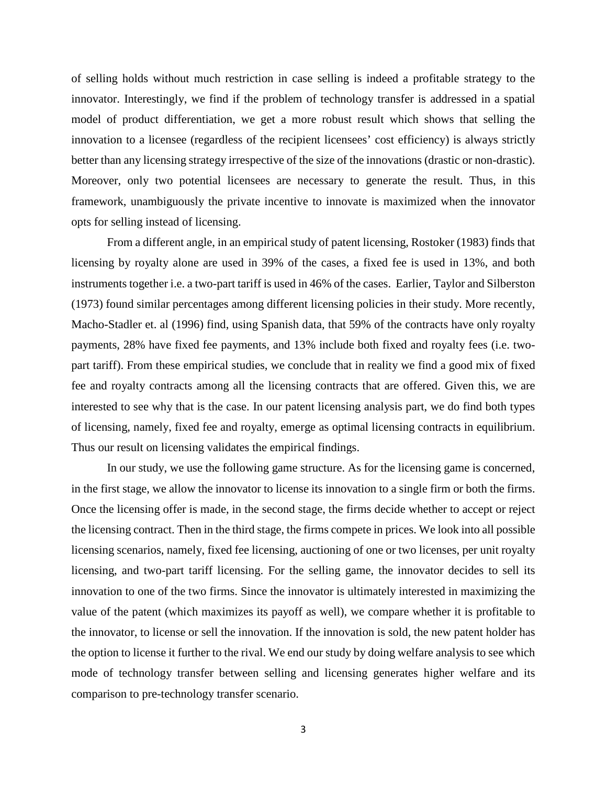of selling holds without much restriction in case selling is indeed a profitable strategy to the innovator. Interestingly, we find if the problem of technology transfer is addressed in a spatial model of product differentiation, we get a more robust result which shows that selling the innovation to a licensee (regardless of the recipient licensees' cost efficiency) is always strictly better than any licensing strategy irrespective of the size of the innovations (drastic or non-drastic). Moreover, only two potential licensees are necessary to generate the result. Thus, in this framework, unambiguously the private incentive to innovate is maximized when the innovator opts for selling instead of licensing.

From a different angle, in an empirical study of patent licensing, Rostoker (1983) finds that licensing by royalty alone are used in 39% of the cases, a fixed fee is used in 13%, and both instruments together i.e. a two-part tariff is used in 46% of the cases. Earlier, Taylor and Silberston (1973) found similar percentages among different licensing policies in their study. More recently, Macho-Stadler et. al (1996) find, using Spanish data, that 59% of the contracts have only royalty payments, 28% have fixed fee payments, and 13% include both fixed and royalty fees (i.e. twopart tariff). From these empirical studies, we conclude that in reality we find a good mix of fixed fee and royalty contracts among all the licensing contracts that are offered. Given this, we are interested to see why that is the case. In our patent licensing analysis part, we do find both types of licensing, namely, fixed fee and royalty, emerge as optimal licensing contracts in equilibrium. Thus our result on licensing validates the empirical findings.

In our study, we use the following game structure. As for the licensing game is concerned, in the first stage, we allow the innovator to license its innovation to a single firm or both the firms. Once the licensing offer is made, in the second stage, the firms decide whether to accept or reject the licensing contract. Then in the third stage, the firms compete in prices. We look into all possible licensing scenarios, namely, fixed fee licensing, auctioning of one or two licenses, per unit royalty licensing, and two-part tariff licensing. For the selling game, the innovator decides to sell its innovation to one of the two firms. Since the innovator is ultimately interested in maximizing the value of the patent (which maximizes its payoff as well), we compare whether it is profitable to the innovator, to license or sell the innovation. If the innovation is sold, the new patent holder has the option to license it further to the rival. We end our study by doing welfare analysis to see which mode of technology transfer between selling and licensing generates higher welfare and its comparison to pre-technology transfer scenario.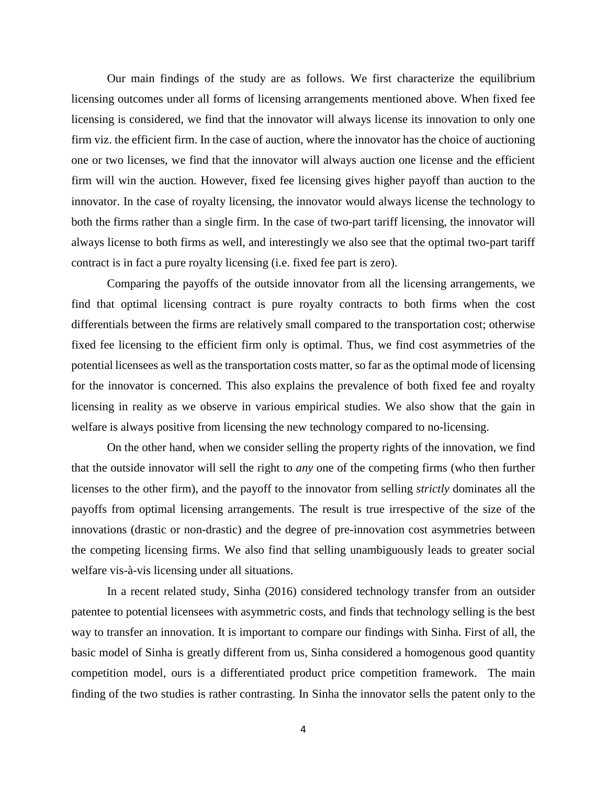Our main findings of the study are as follows. We first characterize the equilibrium licensing outcomes under all forms of licensing arrangements mentioned above. When fixed fee licensing is considered, we find that the innovator will always license its innovation to only one firm viz. the efficient firm. In the case of auction, where the innovator has the choice of auctioning one or two licenses, we find that the innovator will always auction one license and the efficient firm will win the auction. However, fixed fee licensing gives higher payoff than auction to the innovator. In the case of royalty licensing, the innovator would always license the technology to both the firms rather than a single firm. In the case of two-part tariff licensing, the innovator will always license to both firms as well, and interestingly we also see that the optimal two-part tariff contract is in fact a pure royalty licensing (i.e. fixed fee part is zero).

Comparing the payoffs of the outside innovator from all the licensing arrangements, we find that optimal licensing contract is pure royalty contracts to both firms when the cost differentials between the firms are relatively small compared to the transportation cost; otherwise fixed fee licensing to the efficient firm only is optimal. Thus, we find cost asymmetries of the potential licensees as well as the transportation costs matter, so far as the optimal mode of licensing for the innovator is concerned. This also explains the prevalence of both fixed fee and royalty licensing in reality as we observe in various empirical studies. We also show that the gain in welfare is always positive from licensing the new technology compared to no-licensing.

On the other hand, when we consider selling the property rights of the innovation, we find that the outside innovator will sell the right to *any* one of the competing firms (who then further licenses to the other firm), and the payoff to the innovator from selling *strictly* dominates all the payoffs from optimal licensing arrangements. The result is true irrespective of the size of the innovations (drastic or non-drastic) and the degree of pre-innovation cost asymmetries between the competing licensing firms. We also find that selling unambiguously leads to greater social welfare vis-à-vis licensing under all situations.

In a recent related study, Sinha (2016) considered technology transfer from an outsider patentee to potential licensees with asymmetric costs, and finds that technology selling is the best way to transfer an innovation. It is important to compare our findings with Sinha. First of all, the basic model of Sinha is greatly different from us, Sinha considered a homogenous good quantity competition model, ours is a differentiated product price competition framework. The main finding of the two studies is rather contrasting. In Sinha the innovator sells the patent only to the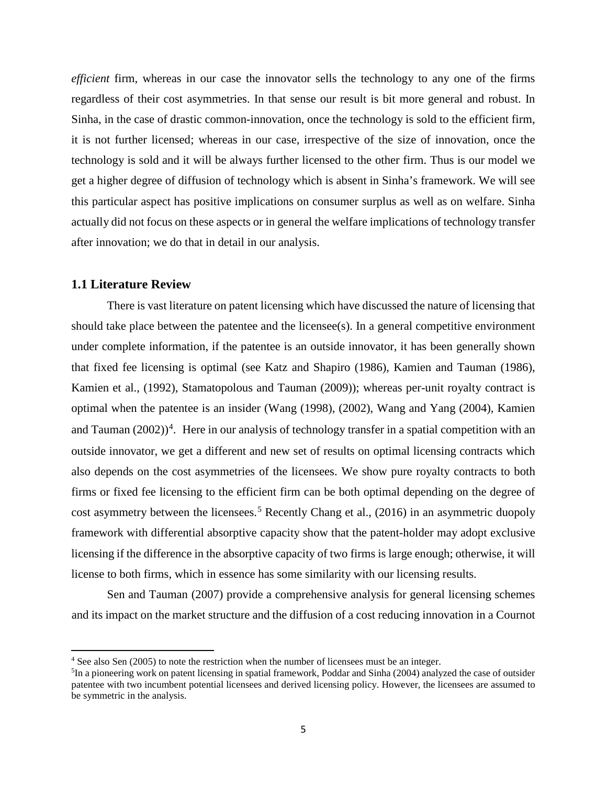*efficient* firm, whereas in our case the innovator sells the technology to any one of the firms regardless of their cost asymmetries. In that sense our result is bit more general and robust. In Sinha, in the case of drastic common-innovation, once the technology is sold to the efficient firm, it is not further licensed; whereas in our case, irrespective of the size of innovation, once the technology is sold and it will be always further licensed to the other firm. Thus is our model we get a higher degree of diffusion of technology which is absent in Sinha's framework. We will see this particular aspect has positive implications on consumer surplus as well as on welfare. Sinha actually did not focus on these aspects or in general the welfare implications of technology transfer after innovation; we do that in detail in our analysis.

#### **1.1 Literature Review**

 $\overline{\phantom{a}}$ 

There is vast literature on patent licensing which have discussed the nature of licensing that should take place between the patentee and the licensee(s). In a general competitive environment under complete information, if the patentee is an outside innovator, it has been generally shown that fixed fee licensing is optimal (see Katz and Shapiro (1986), Kamien and Tauman (1986), Kamien et al., (1992), Stamatopolous and Tauman (2009)); whereas per-unit royalty contract is optimal when the patentee is an insider (Wang (1998), (2002), Wang and Yang (2004), Kamien and Tauman  $(2002))^4$  $(2002))^4$ . Here in our analysis of technology transfer in a spatial competition with an outside innovator, we get a different and new set of results on optimal licensing contracts which also depends on the cost asymmetries of the licensees. We show pure royalty contracts to both firms or fixed fee licensing to the efficient firm can be both optimal depending on the degree of cost asymmetry between the licensees.<sup>[5](#page-7-1)</sup> Recently Chang et al., (2016) in an asymmetric duopoly framework with differential absorptive capacity show that the patent-holder may adopt exclusive licensing if the difference in the absorptive capacity of two firms is large enough; otherwise, it will license to both firms, which in essence has some similarity with our licensing results.

Sen and Tauman (2007) provide a comprehensive analysis for general licensing schemes and its impact on the market structure and the diffusion of a cost reducing innovation in a Cournot

<span id="page-7-0"></span><sup>4</sup> See also Sen (2005) to note the restriction when the number of licensees must be an integer.

<span id="page-7-1"></span><sup>&</sup>lt;sup>5</sup>In a pioneering work on patent licensing in spatial framework, Poddar and Sinha (2004) analyzed the case of outsider patentee with two incumbent potential licensees and derived licensing policy. However, the licensees are assumed to be symmetric in the analysis.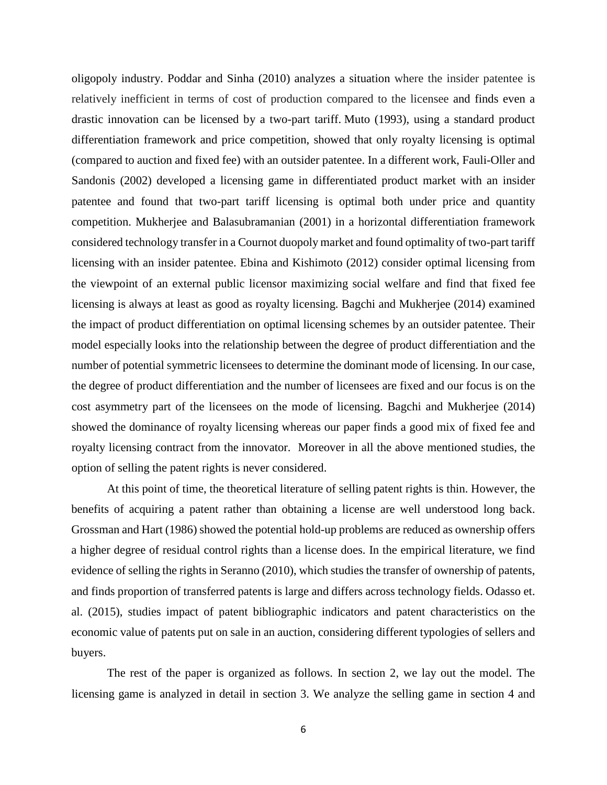oligopoly industry. Poddar and Sinha (2010) analyzes a situation where the insider patentee is relatively inefficient in terms of cost of production compared to the licensee and finds even a drastic innovation can be licensed by a two-part tariff. Muto (1993), using a standard product differentiation framework and price competition, showed that only royalty licensing is optimal (compared to auction and fixed fee) with an outsider patentee. In a different work, Fauli-Oller and Sandonis (2002) developed a licensing game in differentiated product market with an insider patentee and found that two-part tariff licensing is optimal both under price and quantity competition. Mukherjee and Balasubramanian (2001) in a horizontal differentiation framework considered technology transfer in a Cournot duopoly market and found optimality of two-part tariff licensing with an insider patentee. Ebina and Kishimoto (2012) consider optimal licensing from the viewpoint of an external public licensor maximizing social welfare and find that fixed fee licensing is always at least as good as royalty licensing. Bagchi and Mukherjee (2014) examined the impact of product differentiation on optimal licensing schemes by an outsider patentee. Their model especially looks into the relationship between the degree of product differentiation and the number of potential symmetric licensees to determine the dominant mode of licensing. In our case, the degree of product differentiation and the number of licensees are fixed and our focus is on the cost asymmetry part of the licensees on the mode of licensing. Bagchi and Mukherjee (2014) showed the dominance of royalty licensing whereas our paper finds a good mix of fixed fee and royalty licensing contract from the innovator. Moreover in all the above mentioned studies, the option of selling the patent rights is never considered.

At this point of time, the theoretical literature of selling patent rights is thin. However, the benefits of acquiring a patent rather than obtaining a license are well understood long back. Grossman and Hart (1986) showed the potential hold-up problems are reduced as ownership offers a higher degree of residual control rights than a license does. In the empirical literature, we find evidence of selling the rights in Seranno (2010), which studies the transfer of ownership of patents, and finds proportion of transferred patents is large and differs across technology fields. Odasso et. al. (2015), studies impact of patent bibliographic indicators and patent characteristics on the economic value of patents put on sale in an auction, considering different typologies of sellers and buyers.

The rest of the paper is organized as follows. In section 2, we lay out the model. The licensing game is analyzed in detail in section 3. We analyze the selling game in section 4 and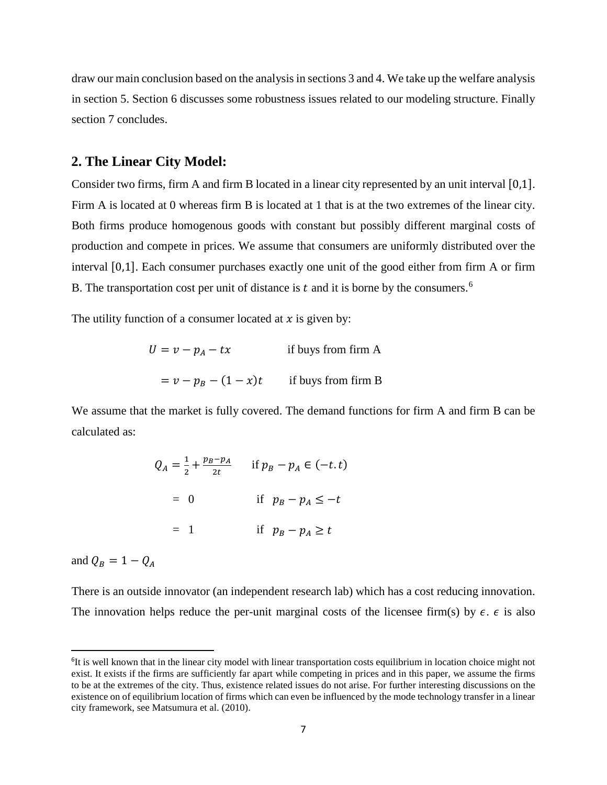draw our main conclusion based on the analysis in sections 3 and 4. We take up the welfare analysis in section 5. Section 6 discusses some robustness issues related to our modeling structure. Finally section 7 concludes.

#### **2. The Linear City Model:**

Consider two firms, firm A and firm B located in a linear city represented by an unit interval [0,1]. Firm A is located at 0 whereas firm B is located at 1 that is at the two extremes of the linear city. Both firms produce homogenous goods with constant but possibly different marginal costs of production and compete in prices. We assume that consumers are uniformly distributed over the interval [0,1]. Each consumer purchases exactly one unit of the good either from firm A or firm B. The transportation cost per unit of distance is  $t$  and it is borne by the consumers.<sup>[6](#page-9-0)</sup>

The utility function of a consumer located at  $x$  is given by:

$$
U = v - p_A - tx
$$
if buys from firm A  

$$
= v - p_B - (1 - x)t
$$
if buys from firm B

We assume that the market is fully covered. The demand functions for firm A and firm B can be calculated as:

|       | $Q_A = \frac{1}{2} + \frac{p_B - p_A}{2t}$ if $p_B - p_A \in (-t, t)$ |
|-------|-----------------------------------------------------------------------|
| $= 0$ | if $p_B - p_A \leq -t$                                                |
| $=$ 1 | if $p_B - p_A \ge t$                                                  |

and  $Q_B = 1 - Q_A$ 

There is an outside innovator (an independent research lab) which has a cost reducing innovation. The innovation helps reduce the per-unit marginal costs of the licensee firm(s) by  $\epsilon$ .  $\epsilon$  is also

<span id="page-9-0"></span> <sup>6</sup> <sup>6</sup>It is well known that in the linear city model with linear transportation costs equilibrium in location choice might not exist. It exists if the firms are sufficiently far apart while competing in prices and in this paper, we assume the firms to be at the extremes of the city. Thus, existence related issues do not arise. For further interesting discussions on the existence on of equilibrium location of firms which can even be influenced by the mode technology transfer in a linear city framework, see Matsumura et al. (2010).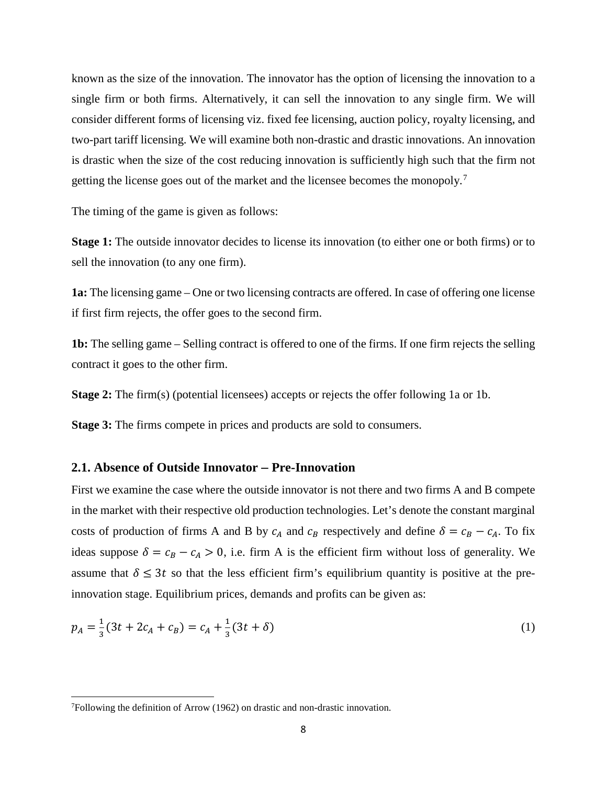known as the size of the innovation. The innovator has the option of licensing the innovation to a single firm or both firms. Alternatively, it can sell the innovation to any single firm. We will consider different forms of licensing viz. fixed fee licensing, auction policy, royalty licensing, and two-part tariff licensing. We will examine both non-drastic and drastic innovations. An innovation is drastic when the size of the cost reducing innovation is sufficiently high such that the firm not getting the license goes out of the market and the licensee becomes the monopoly.[7](#page-10-0)

The timing of the game is given as follows:

**Stage 1:** The outside innovator decides to license its innovation (to either one or both firms) or to sell the innovation (to any one firm).

**1a:** The licensing game – One or two licensing contracts are offered. In case of offering one license if first firm rejects, the offer goes to the second firm.

**1b:** The selling game – Selling contract is offered to one of the firms. If one firm rejects the selling contract it goes to the other firm.

**Stage 2:** The firm(s) (potential licensees) accepts or rejects the offer following 1a or 1b.

**Stage 3:** The firms compete in prices and products are sold to consumers.

#### **2.1. Absence of Outside Innovator – Pre-Innovation**

First we examine the case where the outside innovator is not there and two firms A and B compete in the market with their respective old production technologies. Let's denote the constant marginal costs of production of firms A and B by  $c_A$  and  $c_B$  respectively and define  $\delta = c_B - c_A$ . To fix ideas suppose  $\delta = c_B - c_A > 0$ , i.e. firm A is the efficient firm without loss of generality. We assume that  $\delta \leq 3t$  so that the less efficient firm's equilibrium quantity is positive at the preinnovation stage. Equilibrium prices, demands and profits can be given as:

$$
p_A = \frac{1}{3}(3t + 2c_A + c_B) = c_A + \frac{1}{3}(3t + \delta)
$$
\n(1)

l

<span id="page-10-0"></span><sup>7</sup> Following the definition of Arrow (1962) on drastic and non-drastic innovation.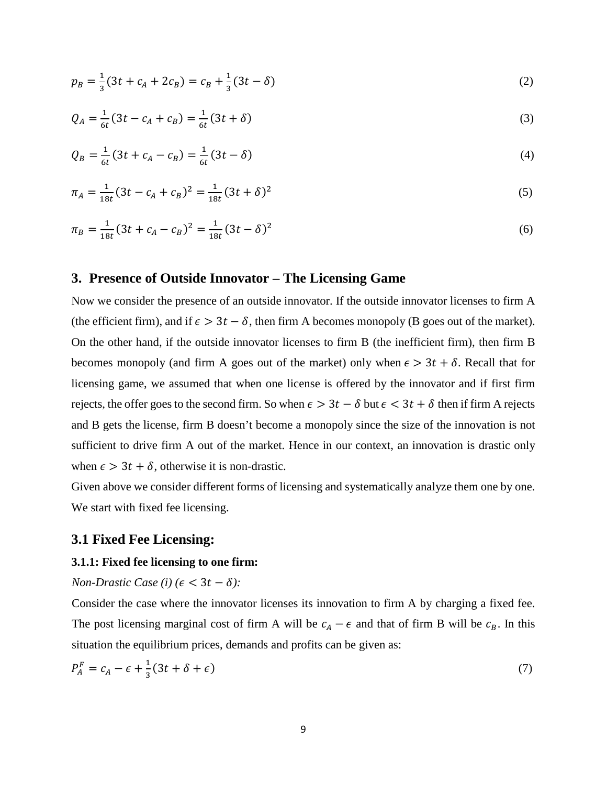$$
p_B = \frac{1}{3}(3t + c_A + 2c_B) = c_B + \frac{1}{3}(3t - \delta)
$$
\n(2)

$$
Q_A = \frac{1}{6t} (3t - c_A + c_B) = \frac{1}{6t} (3t + \delta)
$$
\n(3)

$$
Q_B = \frac{1}{6t} (3t + c_A - c_B) = \frac{1}{6t} (3t - \delta)
$$
\n(4)

$$
\pi_A = \frac{1}{18t} (3t - c_A + c_B)^2 = \frac{1}{18t} (3t + \delta)^2
$$
\n(5)

$$
\pi_B = \frac{1}{18t} (3t + c_A - c_B)^2 = \frac{1}{18t} (3t - \delta)^2
$$
\n(6)

#### **3. Presence of Outside Innovator – The Licensing Game**

Now we consider the presence of an outside innovator. If the outside innovator licenses to firm A (the efficient firm), and if  $\epsilon > 3t - \delta$ , then firm A becomes monopoly (B goes out of the market). On the other hand, if the outside innovator licenses to firm B (the inefficient firm), then firm B becomes monopoly (and firm A goes out of the market) only when  $\epsilon > 3t + \delta$ . Recall that for licensing game, we assumed that when one license is offered by the innovator and if first firm rejects, the offer goes to the second firm. So when  $\epsilon > 3t - \delta$  but  $\epsilon < 3t + \delta$  then if firm A rejects and B gets the license, firm B doesn't become a monopoly since the size of the innovation is not sufficient to drive firm A out of the market. Hence in our context, an innovation is drastic only when  $\epsilon > 3t + \delta$ , otherwise it is non-drastic.

Given above we consider different forms of licensing and systematically analyze them one by one. We start with fixed fee licensing.

### **3.1 Fixed Fee Licensing:**

#### **3.1.1: Fixed fee licensing to one firm:**

*Non-Drastic Case (i)*  $(\epsilon < 3t - \delta)$ :

Consider the case where the innovator licenses its innovation to firm A by charging a fixed fee. The post licensing marginal cost of firm A will be  $c_A - \epsilon$  and that of firm B will be  $c_B$ . In this situation the equilibrium prices, demands and profits can be given as:

$$
P_A^F = c_A - \epsilon + \frac{1}{3}(3t + \delta + \epsilon) \tag{7}
$$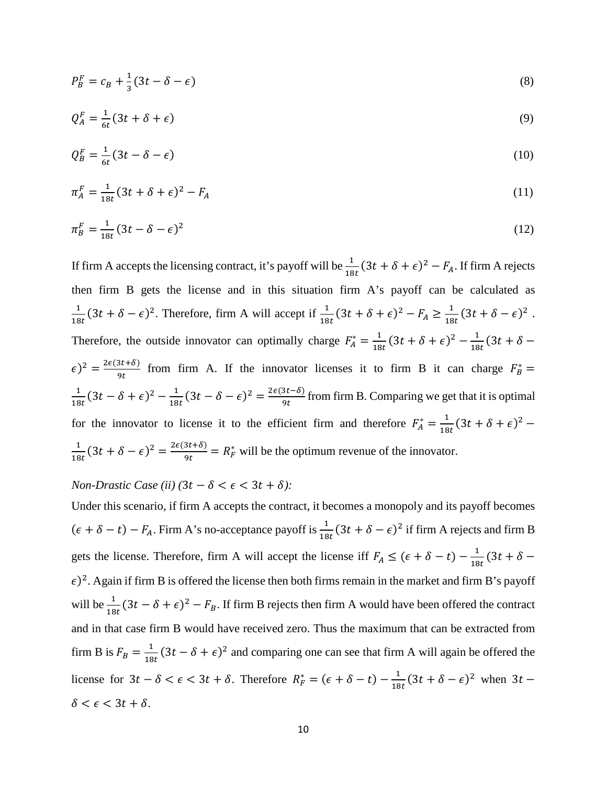$$
P_B^F = c_B + \frac{1}{3}(3t - \delta - \epsilon) \tag{8}
$$

$$
Q_A^F = \frac{1}{6t} (3t + \delta + \epsilon) \tag{9}
$$

$$
Q_B^F = \frac{1}{6t} (3t - \delta - \epsilon) \tag{10}
$$

$$
\pi_A^F = \frac{1}{18t} (3t + \delta + \epsilon)^2 - F_A \tag{11}
$$

$$
\pi_B^F = \frac{1}{18t} (3t - \delta - \epsilon)^2 \tag{12}
$$

If firm A accepts the licensing contract, it's payoff will be  $\frac{1}{18t}(3t + \delta + \epsilon)^2 - F_A$ . If firm A rejects then firm B gets the license and in this situation firm A's payoff can be calculated as 1  $\frac{1}{18t}(3t+\delta-\epsilon)^2$ . Therefore, firm A will accept if  $\frac{1}{18t}(3t+\delta+\epsilon)^2 - F_A \ge \frac{1}{18t}(3t+\delta-\epsilon)^2$ . Therefore, the outside innovator can optimally charge  $F_A^* = \frac{1}{18t}(3t + \delta + \epsilon)^2 - \frac{1}{18t}(3t + \delta - \epsilon)$  $(\epsilon)^2 = \frac{2\epsilon(3t+\delta)}{9t}$  from firm A. If the innovator licenses it to firm B it can charge  $F_B^* =$ 1  $\frac{1}{18t}(3t-\delta+\epsilon)^2 - \frac{1}{18t}(3t-\delta-\epsilon)^2 = \frac{2\epsilon(3t-\delta)}{9t}$  from firm B. Comparing we get that it is optimal for the innovator to license it to the efficient firm and therefore  $F_A^* = \frac{1}{18t}(3t + \delta + \epsilon)^2$  –  $\overline{1}$  $\frac{1}{18t}(3t + \delta - \epsilon)^2 = \frac{2\epsilon(3t + \delta)}{9t} = R_F^*$  will be the optimum revenue of the innovator.

# *Non-Drastic Case (ii)*  $(3t - \delta < \epsilon < 3t + \delta)$ :

Under this scenario, if firm A accepts the contract, it becomes a monopoly and its payoff becomes  $(\epsilon + \delta - t) - F_A$ . Firm A's no-acceptance payoff is  $\frac{1}{18t}(3t + \delta - \epsilon)^2$  if firm A rejects and firm B gets the license. Therefore, firm A will accept the license iff  $F_A \leq (\epsilon + \delta - t) - \frac{1}{18t}(3t + \delta - t)$  $\epsilon$ )<sup>2</sup>. Again if firm B is offered the license then both firms remain in the market and firm B's payoff will be  $\frac{1}{18t}(3t - \delta + \epsilon)^2 - F_B$ . If firm B rejects then firm A would have been offered the contract and in that case firm B would have received zero. Thus the maximum that can be extracted from firm B is  $F_B = \frac{1}{18t} (3t - \delta + \epsilon)^2$  and comparing one can see that firm A will again be offered the license for  $3t - \delta < \epsilon < 3t + \delta$ . Therefore  $R_F^* = (\epsilon + \delta - t) - \frac{1}{18t}(3t + \delta - \epsilon)^2$  when  $3t \delta < \epsilon < 3t + \delta$ .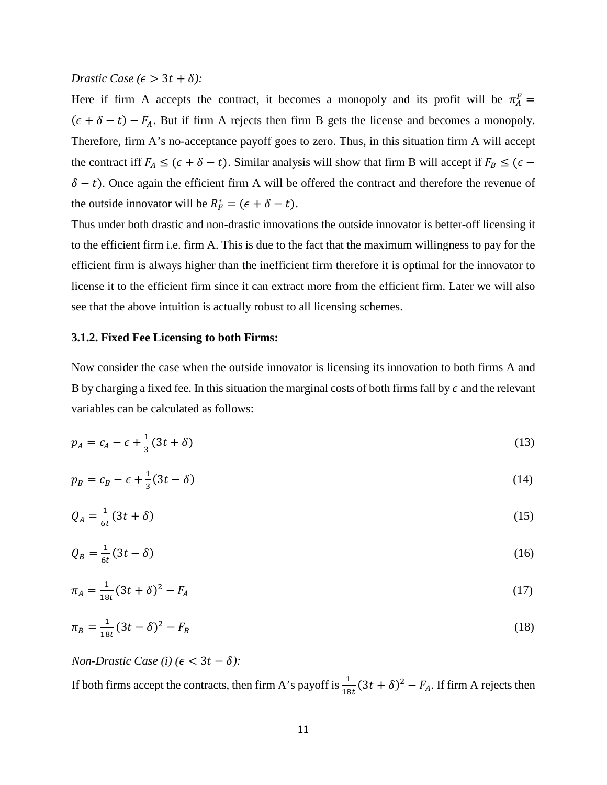*Drastic Case* ( $\epsilon > 3t + \delta$ ):

Here if firm A accepts the contract, it becomes a monopoly and its profit will be  $\pi_A^F$  =  $(\epsilon + \delta - t) - F_A$ . But if firm A rejects then firm B gets the license and becomes a monopoly. Therefore, firm A's no-acceptance payoff goes to zero. Thus, in this situation firm A will accept the contract iff  $F_A \leq (\epsilon + \delta - t)$ . Similar analysis will show that firm B will accept if  $F_B \leq (\epsilon \delta - t$ ). Once again the efficient firm A will be offered the contract and therefore the revenue of the outside innovator will be  $R_F^* = (\epsilon + \delta - t)$ .

Thus under both drastic and non-drastic innovations the outside innovator is better-off licensing it to the efficient firm i.e. firm A. This is due to the fact that the maximum willingness to pay for the efficient firm is always higher than the inefficient firm therefore it is optimal for the innovator to license it to the efficient firm since it can extract more from the efficient firm. Later we will also see that the above intuition is actually robust to all licensing schemes.

#### **3.1.2. Fixed Fee Licensing to both Firms:**

Now consider the case when the outside innovator is licensing its innovation to both firms A and B by charging a fixed fee. In this situation the marginal costs of both firms fall by  $\epsilon$  and the relevant variables can be calculated as follows:

$$
p_A = c_A - \epsilon + \frac{1}{3}(3t + \delta) \tag{13}
$$

$$
p_B = c_B - \epsilon + \frac{1}{3}(3t - \delta) \tag{14}
$$

$$
Q_A = \frac{1}{6t}(3t + \delta) \tag{15}
$$

$$
Q_B = \frac{1}{6t}(3t - \delta) \tag{16}
$$

$$
\pi_A = \frac{1}{18t} (3t + \delta)^2 - F_A \tag{17}
$$

$$
\pi_B = \frac{1}{18t} (3t - \delta)^2 - F_B \tag{18}
$$

*Non-Drastic Case (i)* ( $\epsilon$  < 3t –  $\delta$ ):

If both firms accept the contracts, then firm A's payoff is  $\frac{1}{18t}(3t + \delta)^2 - F_A$ . If firm A rejects then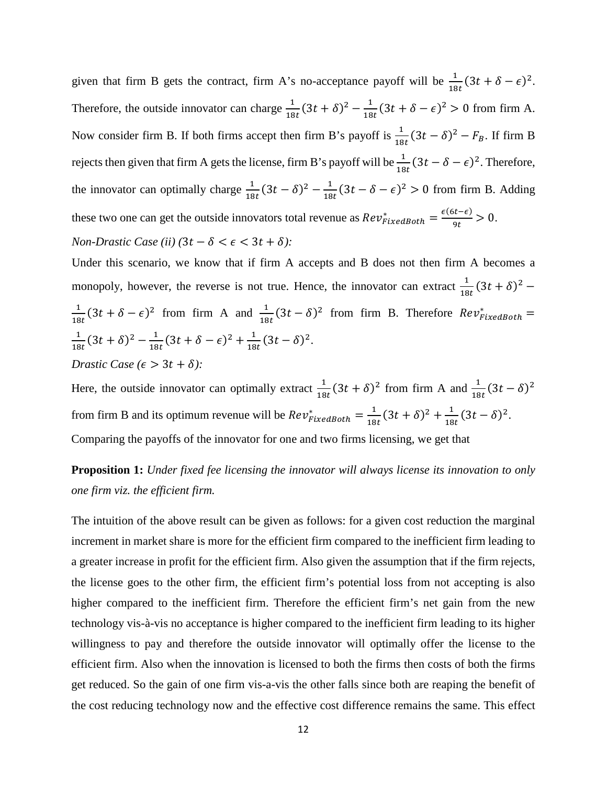given that firm B gets the contract, firm A's no-acceptance payoff will be  $\frac{1}{18t}(3t + \delta - \epsilon)^2$ . Therefore, the outside innovator can charge  $\frac{1}{18t}(3t + \delta)^2 - \frac{1}{18t}(3t + \delta - \epsilon)^2 > 0$  from firm A. Now consider firm B. If both firms accept then firm B's payoff is  $\frac{1}{18t}(3t - \delta)^2 - F_B$ . If firm B rejects then given that firm A gets the license, firm B's payoff will be  $\frac{1}{10}$  $\frac{1}{18t}(3t-\delta-\epsilon)^2$ . Therefore, the innovator can optimally charge  $\frac{1}{18t}(3t-\delta)^2 - \frac{1}{18t}(3t-\delta-\epsilon)^2 > 0$  from firm B. Adding these two one can get the outside innovators total revenue as  $Rev^*_{FixedBoth} = \frac{\epsilon(6t-\epsilon)}{9t} > 0$ . *Non-Drastic Case (ii)*  $(3t - \delta < \epsilon < 3t + \delta)$ :

Under this scenario, we know that if firm A accepts and B does not then firm A becomes a monopoly, however, the reverse is not true. Hence, the innovator can extract  $\frac{1}{18t}(3t + \delta)^2$  – 1  $\frac{1}{18t}(3t + \delta - \epsilon)^2$  from firm A and  $\frac{1}{18t}(3t - \delta)^2$  from firm B. Therefore  $Rev_{FixedBoth}^* =$ 1  $\frac{1}{18t}(3t+\delta)^2 - \frac{1}{18t}(3t+\delta-\epsilon)^2 + \frac{1}{18t}(3t-\delta)^2$ . *Drastic Case* ( $\epsilon > 3t + \delta$ ):

Here, the outside innovator can optimally extract  $\frac{1}{18t}(3t + \delta)^2$  from firm A and  $\frac{1}{18t}(3t - \delta)^2$ from firm B and its optimum revenue will be  $Rev^*_{FixedBoth} = \frac{1}{18t}(3t + \delta)^2 + \frac{1}{18t}(3t - \delta)^2$ . Comparing the payoffs of the innovator for one and two firms licensing, we get that

# **Proposition 1:** *Under fixed fee licensing the innovator will always license its innovation to only one firm viz. the efficient firm.*

The intuition of the above result can be given as follows: for a given cost reduction the marginal increment in market share is more for the efficient firm compared to the inefficient firm leading to a greater increase in profit for the efficient firm. Also given the assumption that if the firm rejects, the license goes to the other firm, the efficient firm's potential loss from not accepting is also higher compared to the inefficient firm. Therefore the efficient firm's net gain from the new technology vis-à-vis no acceptance is higher compared to the inefficient firm leading to its higher willingness to pay and therefore the outside innovator will optimally offer the license to the efficient firm. Also when the innovation is licensed to both the firms then costs of both the firms get reduced. So the gain of one firm vis-a-vis the other falls since both are reaping the benefit of the cost reducing technology now and the effective cost difference remains the same. This effect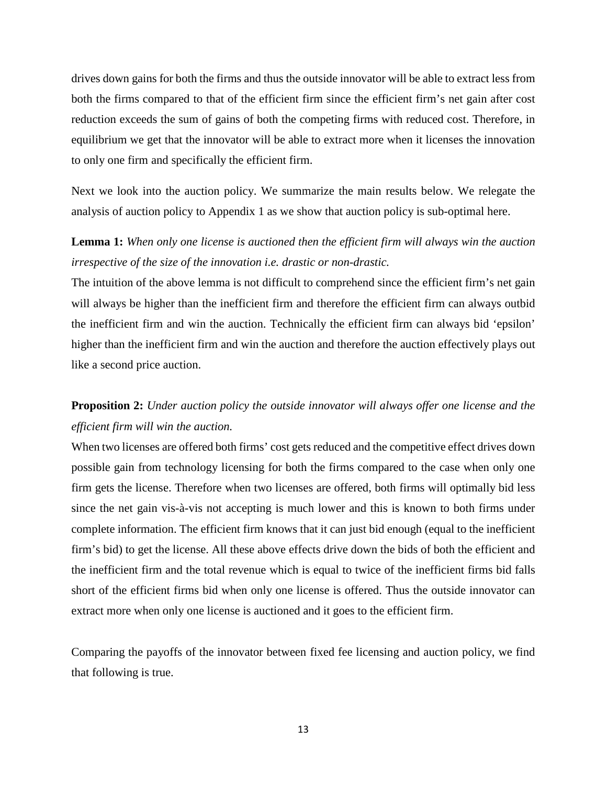drives down gains for both the firms and thus the outside innovator will be able to extract less from both the firms compared to that of the efficient firm since the efficient firm's net gain after cost reduction exceeds the sum of gains of both the competing firms with reduced cost. Therefore, in equilibrium we get that the innovator will be able to extract more when it licenses the innovation to only one firm and specifically the efficient firm.

Next we look into the auction policy. We summarize the main results below. We relegate the analysis of auction policy to Appendix 1 as we show that auction policy is sub-optimal here.

# **Lemma 1:** *When only one license is auctioned then the efficient firm will always win the auction irrespective of the size of the innovation i.e. drastic or non-drastic.*

The intuition of the above lemma is not difficult to comprehend since the efficient firm's net gain will always be higher than the inefficient firm and therefore the efficient firm can always outbid the inefficient firm and win the auction. Technically the efficient firm can always bid 'epsilon' higher than the inefficient firm and win the auction and therefore the auction effectively plays out like a second price auction.

# **Proposition 2:** *Under auction policy the outside innovator will always offer one license and the efficient firm will win the auction.*

When two licenses are offered both firms' cost gets reduced and the competitive effect drives down possible gain from technology licensing for both the firms compared to the case when only one firm gets the license. Therefore when two licenses are offered, both firms will optimally bid less since the net gain vis-à-vis not accepting is much lower and this is known to both firms under complete information. The efficient firm knows that it can just bid enough (equal to the inefficient firm's bid) to get the license. All these above effects drive down the bids of both the efficient and the inefficient firm and the total revenue which is equal to twice of the inefficient firms bid falls short of the efficient firms bid when only one license is offered. Thus the outside innovator can extract more when only one license is auctioned and it goes to the efficient firm.

Comparing the payoffs of the innovator between fixed fee licensing and auction policy, we find that following is true.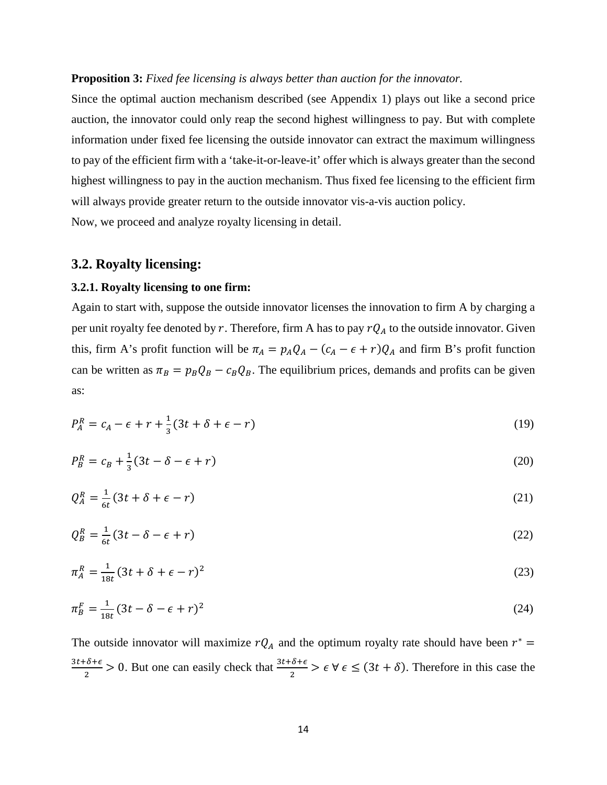#### **Proposition 3:** *Fixed fee licensing is always better than auction for the innovator.*

Since the optimal auction mechanism described (see Appendix 1) plays out like a second price auction, the innovator could only reap the second highest willingness to pay. But with complete information under fixed fee licensing the outside innovator can extract the maximum willingness to pay of the efficient firm with a 'take-it-or-leave-it' offer which is always greater than the second highest willingness to pay in the auction mechanism. Thus fixed fee licensing to the efficient firm will always provide greater return to the outside innovator vis-a-vis auction policy. Now, we proceed and analyze royalty licensing in detail.

### **3.2. Royalty licensing:**

#### **3.2.1. Royalty licensing to one firm:**

Again to start with, suppose the outside innovator licenses the innovation to firm A by charging a per unit royalty fee denoted by r. Therefore, firm A has to pay  $rQ_A$  to the outside innovator. Given this, firm A's profit function will be  $\pi_A = p_A Q_A - (c_A - \epsilon + r)Q_A$  and firm B's profit function can be written as  $\pi_B = p_B Q_B - c_B Q_B$ . The equilibrium prices, demands and profits can be given as:

$$
P_A^R = c_A - \epsilon + r + \frac{1}{3}(3t + \delta + \epsilon - r) \tag{19}
$$

$$
P_B^R = c_B + \frac{1}{3}(3t - \delta - \epsilon + r) \tag{20}
$$

$$
Q_A^R = \frac{1}{6t} (3t + \delta + \epsilon - r) \tag{21}
$$

$$
Q_B^R = \frac{1}{6t}(3t - \delta - \epsilon + r) \tag{22}
$$

$$
\pi_A^R = \frac{1}{18t} (3t + \delta + \epsilon - r)^2 \tag{23}
$$

$$
\pi_B^F = \frac{1}{18t} (3t - \delta - \epsilon + r)^2 \tag{24}
$$

The outside innovator will maximize  $rQ_A$  and the optimum royalty rate should have been  $r^*$  =  $3t+\delta+\epsilon$  $\frac{2\delta + \epsilon}{2} > 0$ . But one can easily check that  $\frac{3t + \delta + \epsilon}{2} > \epsilon \ \forall \ \epsilon \leq (3t + \delta)$ . Therefore in this case the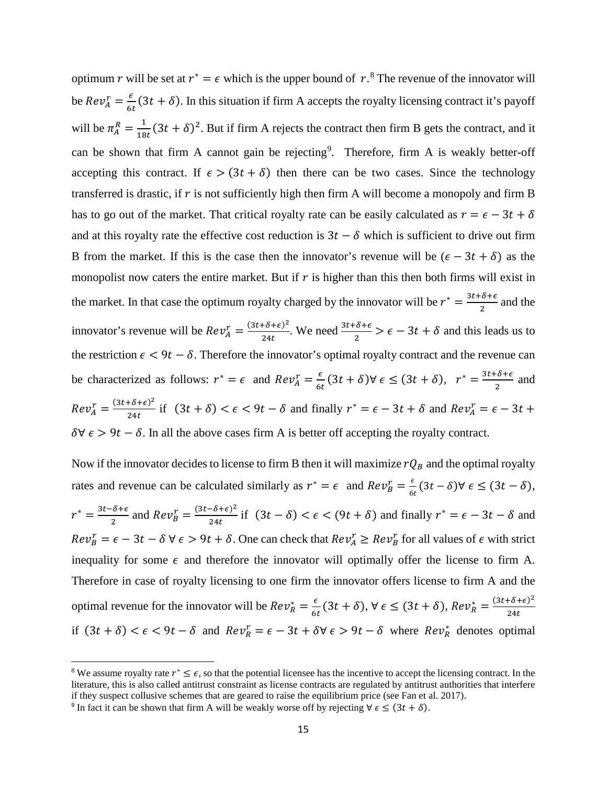optimum r will be set at  $r^* = \epsilon$  which is the upper bound of r.<sup>[8](#page-17-0)</sup> The revenue of the innovator will be  $Rev_A^r = \frac{\epsilon}{6t} (3t + \delta)$ . In this situation if firm A accepts the royalty licensing contract it's payoff will be  $\pi_A^R = \frac{1}{18t} (3t + \delta)^2$ . But if firm A rejects the contract then firm B gets the contract, and it can be shown that firm A cannot gain be rejecting<sup>[9](#page-17-1)</sup>. Therefore, firm A is weakly better-off accepting this contract. If  $\epsilon > (3t + \delta)$  then there can be two cases. Since the technology transferred is drastic, if  $r$  is not sufficiently high then firm A will become a monopoly and firm B has to go out of the market. That critical royalty rate can be easily calculated as  $r = \epsilon - 3t + \delta$ and at this royalty rate the effective cost reduction is  $3t - \delta$  which is sufficient to drive out firm B from the market. If this is the case then the innovator's revenue will be  $(\epsilon - 3t + \delta)$  as the monopolist now caters the entire market. But if  $r$  is higher than this then both firms will exist in the market. In that case the optimum royalty charged by the innovator will be  $r^* = \frac{3t + \delta + \epsilon}{2}$  and the innovator's revenue will be  $Rev_A^r = \frac{(3t + \delta + \epsilon)^2}{24t}$ . We need  $\frac{3t + \delta + \epsilon}{2} > \epsilon - 3t + \delta$  and this leads us to the restriction  $\epsilon < 9t - \delta$ . Therefore the innovator's optimal royalty contract and the revenue can be characterized as follows:  $r^* = \epsilon$  and  $Re v_A^r = \frac{\epsilon}{6t}(3t + \delta)\forall \epsilon \leq (3t + \delta)$ ,  $r^* = \frac{3t + \delta + \epsilon}{2}$  and  $Rev_A^r = \frac{(3t+\delta+\epsilon)^2}{24t}$  if  $(3t+\delta) < \epsilon < 9t-\delta$  and finally  $r^* = \epsilon - 3t + \delta$  and  $Rev_A^r = \epsilon - 3t + \delta$  $\delta \forall \epsilon > 9t - \delta$ . In all the above cases firm A is better off accepting the royalty contract.

Now if the innovator decides to license to firm B then it will maximize  $rQ_B$  and the optimal royalty rates and revenue can be calculated similarly as  $r^* = \epsilon$  and  $Re v_B^r = \frac{\epsilon}{6t}(3t - \delta)\forall \epsilon \le (3t - \delta)$ ,  $r^* = \frac{3t - \delta + \epsilon}{2}$  and  $Re v_B^r = \frac{(3t - \delta + \epsilon)^2}{24t}$  if  $(3t - \delta) < \epsilon < (9t + \delta)$  and finally  $r^* = \epsilon - 3t - \delta$  and  $Rev_B^r = \epsilon - 3t - \delta \forall \epsilon > 9t + \delta$ . One can check that  $Rev_A^r \geq Rev_B^r$  for all values of  $\epsilon$  with strict inequality for some  $\epsilon$  and therefore the innovator will optimally offer the license to firm A. Therefore in case of royalty licensing to one firm the innovator offers license to firm A and the optimal revenue for the innovator will be  $Rev_R^* = \frac{\epsilon}{6t}(3t + \delta)$ ,  $\forall \epsilon \leq (3t + \delta)$ ,  $Rev_R^* = \frac{(3t + \delta + \epsilon)^2}{24t}$ if  $(3t + \delta) < \epsilon < 9t - \delta$  and  $Re v_R^r = \epsilon - 3t + \delta \forall \epsilon > 9t - \delta$  where  $Re v_R^*$  denotes optimal

 $\overline{\phantom{a}}$ 

<span id="page-17-0"></span><sup>&</sup>lt;sup>8</sup> We assume royalty rate  $r^* \leq \epsilon$ , so that the potential licensee has the incentive to accept the licensing contract. In the literature, this is also called antitrust constraint as license contracts are regulated by antitrust authorities that interfere if they suspect collusive schemes that are geared to raise the equilibrium price (see Fan et al. 2017).

<span id="page-17-1"></span><sup>&</sup>lt;sup>9</sup> In fact it can be shown that firm A will be weakly worse off by rejecting  $\forall \epsilon \leq (3t + \delta)$ .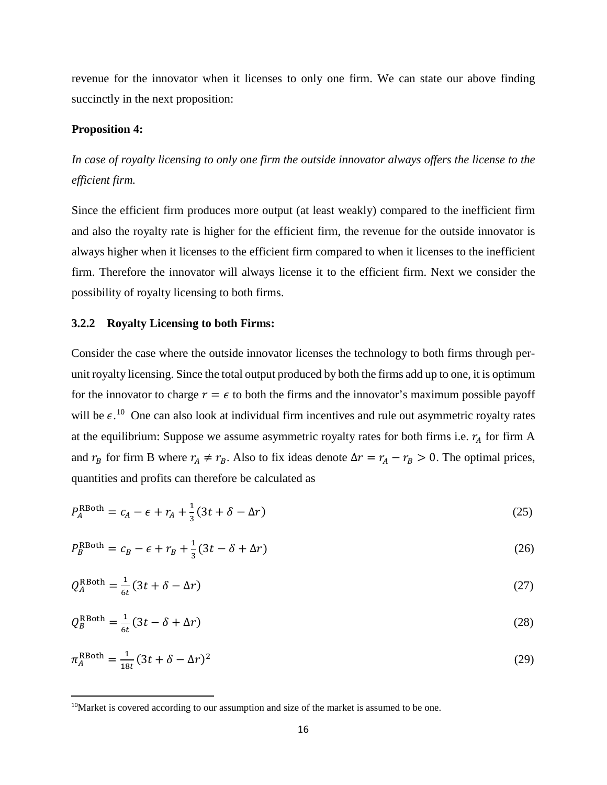revenue for the innovator when it licenses to only one firm. We can state our above finding succinctly in the next proposition:

#### **Proposition 4:**

*In case of royalty licensing to only one firm the outside innovator always offers the license to the efficient firm.*

Since the efficient firm produces more output (at least weakly) compared to the inefficient firm and also the royalty rate is higher for the efficient firm, the revenue for the outside innovator is always higher when it licenses to the efficient firm compared to when it licenses to the inefficient firm. Therefore the innovator will always license it to the efficient firm. Next we consider the possibility of royalty licensing to both firms.

#### **3.2.2 Royalty Licensing to both Firms:**

Consider the case where the outside innovator licenses the technology to both firms through perunit royalty licensing. Since the total output produced by both the firms add up to one, it is optimum for the innovator to charge  $r = \epsilon$  to both the firms and the innovator's maximum possible payoff will be  $\epsilon$ .<sup>10</sup> One can also look at individual firm incentives and rule out asymmetric royalty rates at the equilibrium: Suppose we assume asymmetric royalty rates for both firms i.e.  $r_A$  for firm A and  $r_B$  for firm B where  $r_A \neq r_B$ . Also to fix ideas denote  $\Delta r = r_A - r_B > 0$ . The optimal prices, quantities and profits can therefore be calculated as

$$
P_A^{\text{RBoth}} = c_A - \epsilon + r_A + \frac{1}{3}(3t + \delta - \Delta r) \tag{25}
$$

$$
P_B^{\text{RBoth}} = c_B - \epsilon + r_B + \frac{1}{3}(3t - \delta + \Delta r) \tag{26}
$$

$$
Q_A^{\text{RBoth}} = \frac{1}{6t} (3t + \delta - \Delta r) \tag{27}
$$

$$
Q_B^{\text{RBoth}} = \frac{1}{6t} (3t - \delta + \Delta r) \tag{28}
$$

$$
\pi_A^{\text{RBoth}} = \frac{1}{18t} (3t + \delta - \Delta r)^2 \tag{29}
$$

<span id="page-18-0"></span><sup>&</sup>lt;sup>10</sup>Market is covered according to our assumption and size of the market is assumed to be one.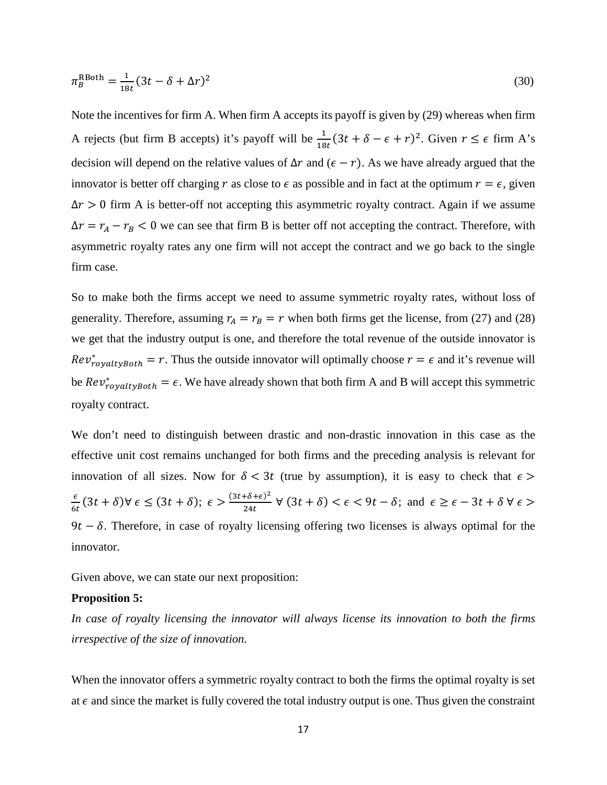$$
\pi_B^{\text{RBoth}} = \frac{1}{18t} (3t - \delta + \Delta r)^2 \tag{30}
$$

Note the incentives for firm A. When firm A accepts its payoff is given by (29) whereas when firm A rejects (but firm B accepts) it's payoff will be  $\frac{1}{18t}(3t + \delta - \epsilon + r)^2$ . Given  $r \leq \epsilon$  firm A's decision will depend on the relative values of  $\Delta r$  and  $(\epsilon - r)$ . As we have already argued that the innovator is better off charging r as close to  $\epsilon$  as possible and in fact at the optimum  $r = \epsilon$ , given  $\Delta r > 0$  firm A is better-off not accepting this asymmetric royalty contract. Again if we assume  $\Delta r = r_A - r_B < 0$  we can see that firm B is better off not accepting the contract. Therefore, with asymmetric royalty rates any one firm will not accept the contract and we go back to the single firm case.

So to make both the firms accept we need to assume symmetric royalty rates, without loss of generality. Therefore, assuming  $r_A = r_B = r$  when both firms get the license, from (27) and (28) we get that the industry output is one, and therefore the total revenue of the outside innovator is  $Rev_{royaltyBoth}^* = r$ . Thus the outside innovator will optimally choose  $r = \epsilon$  and it's revenue will be  $Rev_{royaltyBoth}^* = \epsilon$ . We have already shown that both firm A and B will accept this symmetric royalty contract.

We don't need to distinguish between drastic and non-drastic innovation in this case as the effective unit cost remains unchanged for both firms and the preceding analysis is relevant for innovation of all sizes. Now for  $\delta < 3t$  (true by assumption), it is easy to check that  $\epsilon$  $\epsilon$  $\frac{\epsilon}{6t}(3t+\delta)\forall \epsilon \leq (3t+\delta); \epsilon > \frac{(3t+\delta+\epsilon)^2}{24t} \forall (3t+\delta) < \epsilon < 9t-\delta;$  and  $\epsilon \geq \epsilon - 3t + \delta \forall \epsilon >$ 9t  $-\delta$ . Therefore, in case of royalty licensing offering two licenses is always optimal for the innovator.

Given above, we can state our next proposition:

#### **Proposition 5:**

*In case of royalty licensing the innovator will always license its innovation to both the firms irrespective of the size of innovation.*

When the innovator offers a symmetric royalty contract to both the firms the optimal royalty is set at  $\epsilon$  and since the market is fully covered the total industry output is one. Thus given the constraint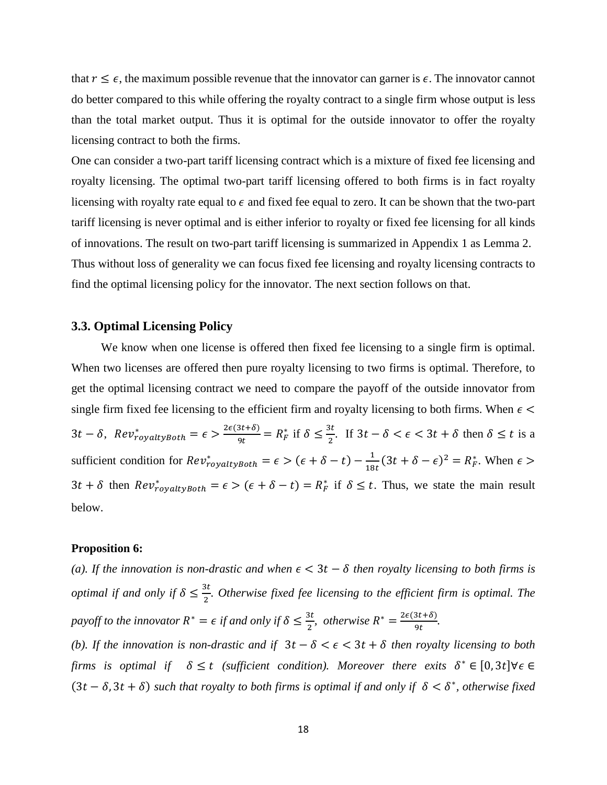that  $r \leq \epsilon$ , the maximum possible revenue that the innovator can garner is  $\epsilon$ . The innovator cannot do better compared to this while offering the royalty contract to a single firm whose output is less than the total market output. Thus it is optimal for the outside innovator to offer the royalty licensing contract to both the firms.

One can consider a two-part tariff licensing contract which is a mixture of fixed fee licensing and royalty licensing. The optimal two-part tariff licensing offered to both firms is in fact royalty licensing with royalty rate equal to  $\epsilon$  and fixed fee equal to zero. It can be shown that the two-part tariff licensing is never optimal and is either inferior to royalty or fixed fee licensing for all kinds of innovations. The result on two-part tariff licensing is summarized in Appendix 1 as Lemma 2. Thus without loss of generality we can focus fixed fee licensing and royalty licensing contracts to find the optimal licensing policy for the innovator. The next section follows on that.

#### **3.3. Optimal Licensing Policy**

We know when one license is offered then fixed fee licensing to a single firm is optimal. When two licenses are offered then pure royalty licensing to two firms is optimal. Therefore, to get the optimal licensing contract we need to compare the payoff of the outside innovator from single firm fixed fee licensing to the efficient firm and royalty licensing to both firms. When  $\epsilon$  <  $3t - \delta$ ,  $Re v_{royaltyBoth}^* = \epsilon > \frac{2\epsilon(3t + \delta)}{9t} = R_F^*$  if  $\delta \leq \frac{3t}{2}$ . If  $3t - \delta < \epsilon < 3t + \delta$  then  $\delta \leq t$  is a sufficient condition for  $Rev_{royaltyBoth}^* = \epsilon > (\epsilon + \delta - t) - \frac{1}{18t}(3t + \delta - \epsilon)^2 = R_F^*$ . When  $\epsilon >$  $3t + \delta$  then  $Rev_{royaltyBoth}^* = \epsilon > (\epsilon + \delta - t) = R_F^*$  if  $\delta \leq t$ . Thus, we state the main result below.

#### **Proposition 6:**

*(a). If the innovation is non-drastic and when*  $\epsilon < 3t - \delta$  *then royalty licensing to both firms is optimal if and only if*  $\delta \leq \frac{3t}{2}$ . Otherwise fixed fee licensing to the efficient firm is optimal. The *payoff to the innovator*  $R^* = \epsilon$  *if and only if*  $\delta \leq \frac{3t}{2}$ *, otherwise*  $R^* = \frac{2\epsilon(3t+ \delta)}{9t}$ *.* 

*(b). If the innovation is non-drastic and if*  $3t - \delta < \epsilon < 3t + \delta$  *then royalty licensing to both firms is optimal if*  $\delta \leq t$  (sufficient condition). Moreover there exits  $\delta^* \in [0, 3t] \forall \epsilon \in$  $(3t - \delta, 3t + \delta)$  *such that royalty to both firms is optimal if and only if*  $\delta < \delta^*$ , *otherwise fixed*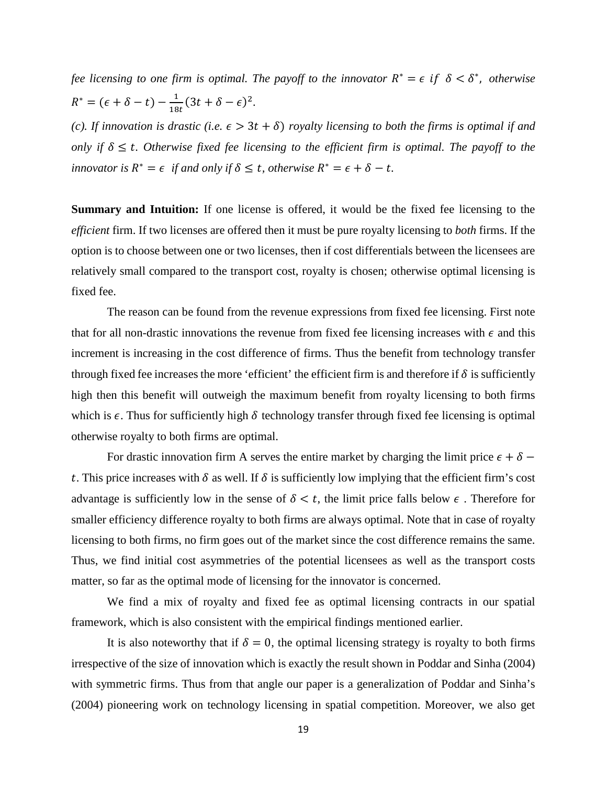*fee licensing to one firm is optimal. The payoff to the innovator*  $R^* = \epsilon$  *if*  $\delta < \delta^*$ , *otherwise*  $R^* = (\epsilon + \delta - t) - \frac{1}{18t} (3t + \delta - \epsilon)^2.$ 

*(c). If innovation is drastic (i.e.*  $\epsilon > 3t + \delta$ ) *royalty licensing to both the firms is optimal if and only if*  $\delta \leq t$ . Otherwise fixed fee licensing to the efficient firm is optimal. The payoff to the *innovator is*  $R^* = \epsilon$  *if and only if*  $\delta \leq t$ *, otherwise*  $R^* = \epsilon + \delta - t$ *.* 

**Summary and Intuition:** If one license is offered, it would be the fixed fee licensing to the *efficient* firm. If two licenses are offered then it must be pure royalty licensing to *both* firms. If the option is to choose between one or two licenses, then if cost differentials between the licensees are relatively small compared to the transport cost, royalty is chosen; otherwise optimal licensing is fixed fee.

The reason can be found from the revenue expressions from fixed fee licensing. First note that for all non-drastic innovations the revenue from fixed fee licensing increases with  $\epsilon$  and this increment is increasing in the cost difference of firms. Thus the benefit from technology transfer through fixed fee increases the more 'efficient' the efficient firm is and therefore if  $\delta$  is sufficiently high then this benefit will outweigh the maximum benefit from royalty licensing to both firms which is  $\epsilon$ . Thus for sufficiently high  $\delta$  technology transfer through fixed fee licensing is optimal otherwise royalty to both firms are optimal.

For drastic innovation firm A serves the entire market by charging the limit price  $\epsilon + \delta$  – t. This price increases with  $\delta$  as well. If  $\delta$  is sufficiently low implying that the efficient firm's cost advantage is sufficiently low in the sense of  $\delta < t$ , the limit price falls below  $\epsilon$ . Therefore for smaller efficiency difference royalty to both firms are always optimal. Note that in case of royalty licensing to both firms, no firm goes out of the market since the cost difference remains the same. Thus, we find initial cost asymmetries of the potential licensees as well as the transport costs matter, so far as the optimal mode of licensing for the innovator is concerned.

We find a mix of royalty and fixed fee as optimal licensing contracts in our spatial framework, which is also consistent with the empirical findings mentioned earlier.

It is also noteworthy that if  $\delta = 0$ , the optimal licensing strategy is royalty to both firms irrespective of the size of innovation which is exactly the result shown in Poddar and Sinha (2004) with symmetric firms. Thus from that angle our paper is a generalization of Poddar and Sinha's (2004) pioneering work on technology licensing in spatial competition. Moreover, we also get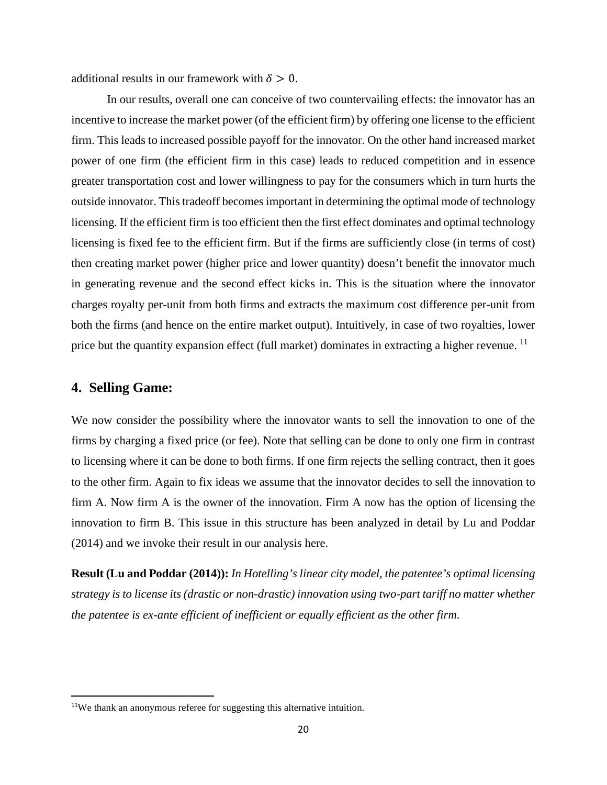additional results in our framework with  $\delta > 0$ .

 In our results, overall one can conceive of two countervailing effects: the innovator has an incentive to increase the market power (of the efficient firm) by offering one license to the efficient firm. This leads to increased possible payoff for the innovator. On the other hand increased market power of one firm (the efficient firm in this case) leads to reduced competition and in essence greater transportation cost and lower willingness to pay for the consumers which in turn hurts the outside innovator. This tradeoff becomes important in determining the optimal mode of technology licensing. If the efficient firm is too efficient then the first effect dominates and optimal technology licensing is fixed fee to the efficient firm. But if the firms are sufficiently close (in terms of cost) then creating market power (higher price and lower quantity) doesn't benefit the innovator much in generating revenue and the second effect kicks in. This is the situation where the innovator charges royalty per-unit from both firms and extracts the maximum cost difference per-unit from both the firms (and hence on the entire market output). Intuitively, in case of two royalties, lower price but the quantity expansion effect (full market) dominates in extracting a higher revenue.<sup>11</sup>

#### **4. Selling Game:**

We now consider the possibility where the innovator wants to sell the innovation to one of the firms by charging a fixed price (or fee). Note that selling can be done to only one firm in contrast to licensing where it can be done to both firms. If one firm rejects the selling contract, then it goes to the other firm. Again to fix ideas we assume that the innovator decides to sell the innovation to firm A. Now firm A is the owner of the innovation. Firm A now has the option of licensing the innovation to firm B. This issue in this structure has been analyzed in detail by Lu and Poddar (2014) and we invoke their result in our analysis here.

**Result (Lu and Poddar (2014)):** *In Hotelling's linear city model, the patentee's optimal licensing strategy is to license its (drastic or non-drastic) innovation using two-part tariff no matter whether the patentee is ex-ante efficient of inefficient or equally efficient as the other firm*.

<span id="page-22-0"></span> <sup>11</sup>We thank an anonymous referee for suggesting this alternative intuition.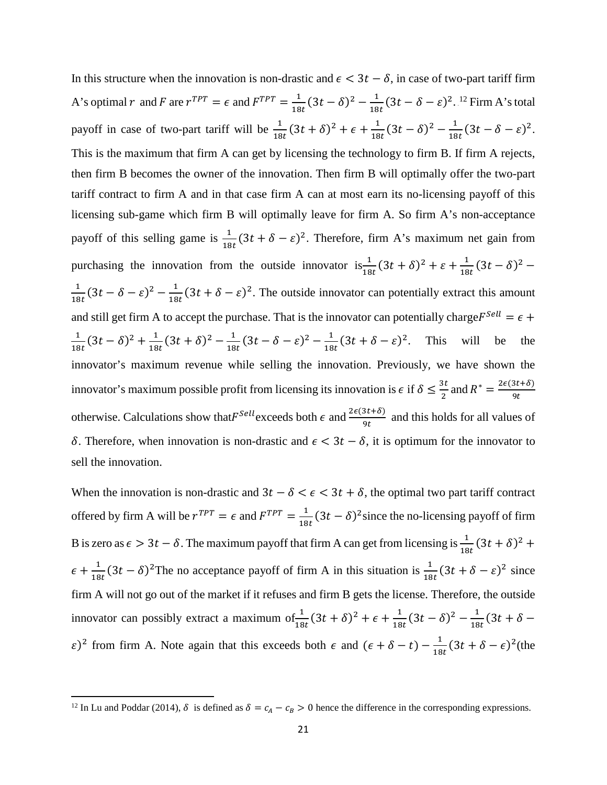In this structure when the innovation is non-drastic and  $\epsilon < 3t - \delta$ , in case of two-part tariff firm A's optimal  $r$  and  $F$  are  $r^{TPT} = \epsilon$  and  $F^{TPT} = \frac{1}{18t}(3t - \delta)^2 - \frac{1}{18t}(3t - \delta - \epsilon)^2$ . <sup>12</sup> Firm A's total payoff in case of two-part tariff will be  $\frac{1}{18t}(3t + \delta)^2 + \epsilon + \frac{1}{18t}(3t - \delta)^2 - \frac{1}{18t}(3t - \delta - \epsilon)^2$ . This is the maximum that firm A can get by licensing the technology to firm B. If firm A rejects, then firm B becomes the owner of the innovation. Then firm B will optimally offer the two-part tariff contract to firm A and in that case firm A can at most earn its no-licensing payoff of this licensing sub-game which firm B will optimally leave for firm A. So firm A's non-acceptance payoff of this selling game is  $\frac{1}{18t}(3t + \delta - \varepsilon)^2$ . Therefore, firm A's maximum net gain from purchasing the innovation from the outside innovator  $is\frac{1}{18t}(3t+\delta)^2 + \varepsilon + \frac{1}{18t}(3t-\delta)^2$  – 1  $\frac{1}{18t}(3t-\delta-\epsilon)^2 - \frac{1}{18t}(3t+\delta-\epsilon)^2$ . The outside innovator can potentially extract this amount and still get firm A to accept the purchase. That is the innovator can potentially charge  $F<sup>sell</sup> = \epsilon +$ 1  $\frac{1}{18t}(3t-\delta)^2 + \frac{1}{18t}(3t+\delta)^2 - \frac{1}{18t}(3t-\delta-\epsilon)^2 - \frac{1}{18t}(3t+\delta-\epsilon)^2$ . This will be the innovator's maximum revenue while selling the innovation. Previously, we have shown the innovator's maximum possible profit from licensing its innovation is  $\epsilon$  if  $\delta \leq \frac{3t}{2}$  and  $R^* = \frac{2\epsilon(3t+\delta)}{9t}$ otherwise. Calculations show that  $F^{Sell}$  exceeds both  $\epsilon$  and  $\frac{2\epsilon(3t+\delta)}{9t}$  and this holds for all values of δ. Therefore, when innovation is non-drastic and  $\epsilon < 3t - \delta$ , it is optimum for the innovator to sell the innovation.

When the innovation is non-drastic and  $3t - \delta < \epsilon < 3t + \delta$ , the optimal two part tariff contract offered by firm A will be  $r^{TPT} = \epsilon$  and  $F^{TPT} = \frac{1}{18t}(3t - \delta)^2$  since the no-licensing payoff of firm B is zero as  $\epsilon > 3t - \delta$ . The maximum payoff that firm A can get from licensing is  $\frac{1}{18t}(3t + \delta)^2$  +  $\epsilon + \frac{1}{18t}(3t - \delta)^2$ The no acceptance payoff of firm A in this situation is  $\frac{1}{18t}(3t + \delta - \epsilon)^2$  since firm A will not go out of the market if it refuses and firm B gets the license. Therefore, the outside innovator can possibly extract a maximum of  $\frac{1}{18t}(3t+\delta)^2 + \epsilon + \frac{1}{18t}(3t-\delta)^2 - \frac{1}{18t}(3t+\delta (\varepsilon)^2$  from firm A. Note again that this exceeds both  $\varepsilon$  and  $(\varepsilon + \delta - t) - \frac{1}{18t}(3t + \delta - \varepsilon)^2$  (the

l

<sup>&</sup>lt;sup>12</sup> In Lu and Poddar (2014),  $\delta$  is defined as  $\delta = c_A - c_B > 0$  hence the difference in the corresponding expressions.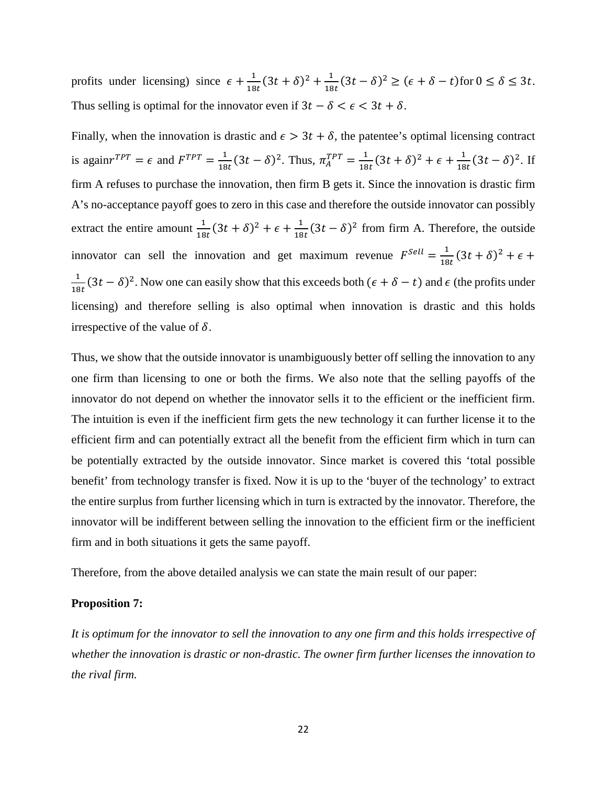profits under licensing) since  $\epsilon + \frac{1}{18t}(3t + \delta)^2 + \frac{1}{18t}(3t - \delta)^2 \ge (\epsilon + \delta - t)$  for  $0 \le \delta \le 3t$ . Thus selling is optimal for the innovator even if  $3t - \delta < \epsilon < 3t + \delta$ .

Finally, when the innovation is drastic and  $\epsilon > 3t + \delta$ , the patentee's optimal licensing contract is again $r^{TPT} = \epsilon$  and  $F^{TPT} = \frac{1}{18t}(3t - \delta)^2$ . Thus,  $\pi_A^{TPT} = \frac{1}{18t}(3t + \delta)^2 + \epsilon + \frac{1}{18t}(3t - \delta)^2$ . If firm A refuses to purchase the innovation, then firm B gets it. Since the innovation is drastic firm A's no-acceptance payoff goes to zero in this case and therefore the outside innovator can possibly extract the entire amount  $\frac{1}{18t}(3t+\delta)^2 + \epsilon + \frac{1}{18t}(3t-\delta)^2$  from firm A. Therefore, the outside innovator can sell the innovation and get maximum revenue  $F^{Sell} = \frac{1}{18t}(3t + \delta)^2 + \epsilon +$  $\overline{1}$  $\frac{1}{18t}(3t-\delta)^2$ . Now one can easily show that this exceeds both  $(\epsilon + \delta - t)$  and  $\epsilon$  (the profits under licensing) and therefore selling is also optimal when innovation is drastic and this holds irrespective of the value of  $\delta$ .

Thus, we show that the outside innovator is unambiguously better off selling the innovation to any one firm than licensing to one or both the firms. We also note that the selling payoffs of the innovator do not depend on whether the innovator sells it to the efficient or the inefficient firm. The intuition is even if the inefficient firm gets the new technology it can further license it to the efficient firm and can potentially extract all the benefit from the efficient firm which in turn can be potentially extracted by the outside innovator. Since market is covered this 'total possible benefit' from technology transfer is fixed. Now it is up to the 'buyer of the technology' to extract the entire surplus from further licensing which in turn is extracted by the innovator. Therefore, the innovator will be indifferent between selling the innovation to the efficient firm or the inefficient firm and in both situations it gets the same payoff.

Therefore, from the above detailed analysis we can state the main result of our paper:

#### **Proposition 7:**

*It is optimum for the innovator to sell the innovation to any one firm and this holds irrespective of whether the innovation is drastic or non-drastic. The owner firm further licenses the innovation to the rival firm.*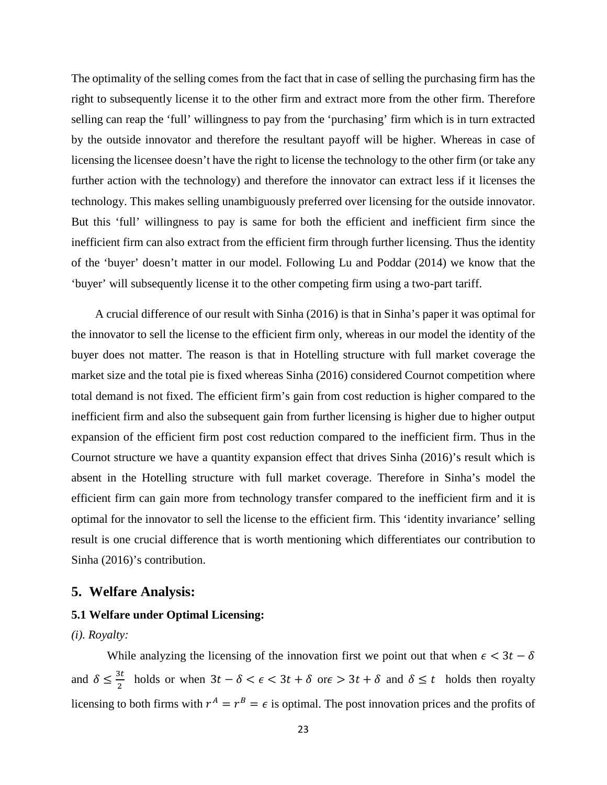The optimality of the selling comes from the fact that in case of selling the purchasing firm has the right to subsequently license it to the other firm and extract more from the other firm. Therefore selling can reap the 'full' willingness to pay from the 'purchasing' firm which is in turn extracted by the outside innovator and therefore the resultant payoff will be higher. Whereas in case of licensing the licensee doesn't have the right to license the technology to the other firm (or take any further action with the technology) and therefore the innovator can extract less if it licenses the technology. This makes selling unambiguously preferred over licensing for the outside innovator. But this 'full' willingness to pay is same for both the efficient and inefficient firm since the inefficient firm can also extract from the efficient firm through further licensing. Thus the identity of the 'buyer' doesn't matter in our model. Following Lu and Poddar (2014) we know that the 'buyer' will subsequently license it to the other competing firm using a two-part tariff.

 A crucial difference of our result with Sinha (2016) is that in Sinha's paper it was optimal for the innovator to sell the license to the efficient firm only, whereas in our model the identity of the buyer does not matter. The reason is that in Hotelling structure with full market coverage the market size and the total pie is fixed whereas Sinha (2016) considered Cournot competition where total demand is not fixed. The efficient firm's gain from cost reduction is higher compared to the inefficient firm and also the subsequent gain from further licensing is higher due to higher output expansion of the efficient firm post cost reduction compared to the inefficient firm. Thus in the Cournot structure we have a quantity expansion effect that drives Sinha (2016)'s result which is absent in the Hotelling structure with full market coverage. Therefore in Sinha's model the efficient firm can gain more from technology transfer compared to the inefficient firm and it is optimal for the innovator to sell the license to the efficient firm. This 'identity invariance' selling result is one crucial difference that is worth mentioning which differentiates our contribution to Sinha (2016)'s contribution.

#### **5. Welfare Analysis:**

#### **5.1 Welfare under Optimal Licensing:**

### *(i). Royalty:*

While analyzing the licensing of the innovation first we point out that when  $\epsilon < 3t - \delta$ and  $\delta \leq \frac{3t}{2}$  holds or when  $3t - \delta < \epsilon < 3t + \delta$  or  $\epsilon > 3t + \delta$  and  $\delta \leq t$  holds then royalty licensing to both firms with  $r^A = r^B = \epsilon$  is optimal. The post innovation prices and the profits of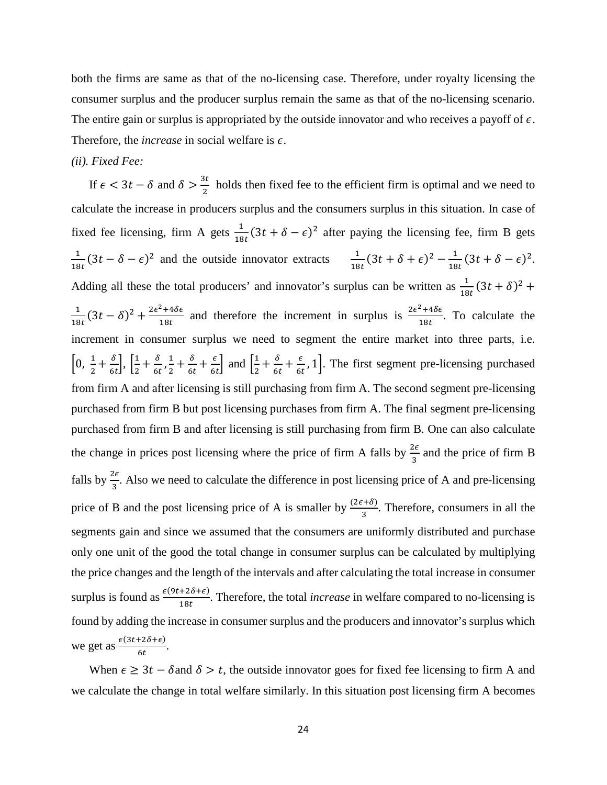both the firms are same as that of the no-licensing case. Therefore, under royalty licensing the consumer surplus and the producer surplus remain the same as that of the no-licensing scenario. The entire gain or surplus is appropriated by the outside innovator and who receives a payoff of  $\epsilon$ . Therefore, the *increase* in social welfare is  $\epsilon$ .

*(ii). Fixed Fee:*

If  $\epsilon < 3t - \delta$  and  $\delta > \frac{3t}{2}$  holds then fixed fee to the efficient firm is optimal and we need to calculate the increase in producers surplus and the consumers surplus in this situation. In case of fixed fee licensing, firm A gets  $\frac{1}{18t}(3t + \delta - \epsilon)^2$  after paying the licensing fee, firm B gets 1  $\frac{1}{18t}(3t - \delta - \epsilon)^2$  and the outside innovator extracts  $\frac{1}{18t}(3t + \delta + \epsilon)^2 - \frac{1}{18t}(3t + \delta - \epsilon)^2$ . Adding all these the total producers' and innovator's surplus can be written as  $\frac{1}{18t}(3t + \delta)^2$  +  $\overline{1}$  $\frac{1}{18t}(3t-\delta)^2 + \frac{2\epsilon^2 + 4\delta\epsilon}{18t}$  and therefore the increment in surplus is  $\frac{2\epsilon^2 + 4\delta\epsilon}{18t}$ . To calculate the increment in consumer surplus we need to segment the entire market into three parts, i.e.  $\left[0, \frac{1}{2} + \frac{\delta}{6t}\right], \frac{1}{2}$  $\frac{1}{2} + \frac{\delta}{6t}, \frac{1}{2}$  $\frac{1}{2} + \frac{\delta}{6t} + \frac{\epsilon}{6t}$  and  $\frac{1}{2}$  $\frac{1}{2} + \frac{\delta}{6t} + \frac{\epsilon}{6t}$ , 1. The first segment pre-licensing purchased from firm A and after licensing is still purchasing from firm A. The second segment pre-licensing purchased from firm B but post licensing purchases from firm A. The final segment pre-licensing purchased from firm B and after licensing is still purchasing from firm B. One can also calculate the change in prices post licensing where the price of firm A falls by  $\frac{2\epsilon}{3}$  and the price of firm B falls by  $\frac{2\epsilon}{3}$ . Also we need to calculate the difference in post licensing price of A and pre-licensing price of B and the post licensing price of A is smaller by  $\frac{(2e+6)}{3}$ . Therefore, consumers in all the segments gain and since we assumed that the consumers are uniformly distributed and purchase only one unit of the good the total change in consumer surplus can be calculated by multiplying the price changes and the length of the intervals and after calculating the total increase in consumer surplus is found as  $\frac{\epsilon(9t+2\delta+\epsilon)}{18t}$ . Therefore, the total *increase* in welfare compared to no-licensing is found by adding the increase in consumer surplus and the producers and innovator's surplus which we get as  $\frac{\epsilon(3t+2\delta+\epsilon)}{6t}$ .

When  $\epsilon \geq 3t - \delta$  and  $\delta > t$ , the outside innovator goes for fixed fee licensing to firm A and we calculate the change in total welfare similarly. In this situation post licensing firm A becomes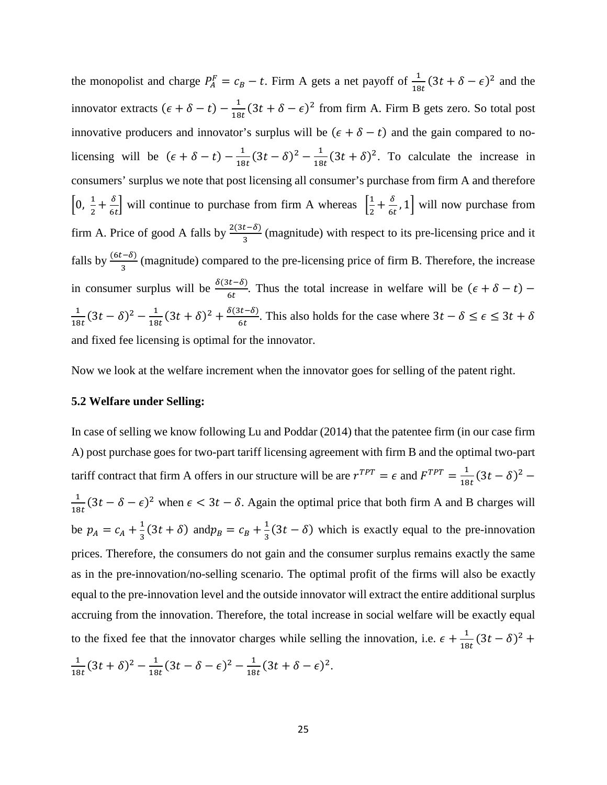the monopolist and charge  $P_A^F = c_B - t$ . Firm A gets a net payoff of  $\frac{1}{18t}(3t + \delta - \epsilon)^2$  and the innovator extracts  $(\epsilon + \delta - t) - \frac{1}{18t} (3t + \delta - \epsilon)^2$  from firm A. Firm B gets zero. So total post innovative producers and innovator's surplus will be  $(\epsilon + \delta - t)$  and the gain compared to nolicensing will be  $(\epsilon + \delta - t) - \frac{1}{18t}(3t - \delta)^2 - \frac{1}{18t}(3t + \delta)^2$ . To calculate the increase in consumers' surplus we note that post licensing all consumer's purchase from firm A and therefore  $\left[0, \frac{1}{2} + \frac{\delta}{6t}\right]$  will continue to purchase from firm A whereas  $\left[\frac{1}{2}\right]$  $\frac{1}{2} + \frac{\delta}{6t}$ , 1 will now purchase from firm A. Price of good A falls by  $\frac{2(3t-\delta)}{3}$  (magnitude) with respect to its pre-licensing price and it falls by  $\frac{(6t-\delta)}{3}$  (magnitude) compared to the pre-licensing price of firm B. Therefore, the increase in consumer surplus will be  $\frac{\delta(3t-\delta)}{6t}$ . Thus the total increase in welfare will be  $(\epsilon + \delta - t)$  –  $\overline{1}$  $\frac{1}{18t}(3t-\delta)^2 - \frac{1}{18t}(3t+\delta)^2 + \frac{\delta(3t-\delta)}{6t}$ . This also holds for the case where  $3t-\delta \leq \epsilon \leq 3t+\delta$ and fixed fee licensing is optimal for the innovator.

Now we look at the welfare increment when the innovator goes for selling of the patent right.

#### **5.2 Welfare under Selling:**

In case of selling we know following Lu and Poddar (2014) that the patentee firm (in our case firm A) post purchase goes for two-part tariff licensing agreement with firm B and the optimal two-part tariff contract that firm A offers in our structure will be are  $r^{TPT} = \epsilon$  and  $F^{TPT} = \frac{1}{18t}(3t - \delta)^2$  – 1  $\frac{1}{18t}(3t - \delta - \epsilon)^2$  when  $\epsilon < 3t - \delta$ . Again the optimal price that both firm A and B charges will be  $p_A = c_A + \frac{1}{3}(3t + \delta)$  and  $p_B = c_B + \frac{1}{3}(3t - \delta)$  which is exactly equal to the pre-innovation prices. Therefore, the consumers do not gain and the consumer surplus remains exactly the same as in the pre-innovation/no-selling scenario. The optimal profit of the firms will also be exactly equal to the pre-innovation level and the outside innovator will extract the entire additional surplus accruing from the innovation. Therefore, the total increase in social welfare will be exactly equal to the fixed fee that the innovator charges while selling the innovation, i.e.  $\epsilon + \frac{1}{18t}(3t - \delta)^2$  + 1  $\frac{1}{18t}(3t+\delta)^2 - \frac{1}{18t}(3t-\delta-\epsilon)^2 - \frac{1}{18t}(3t+\delta-\epsilon)^2$ .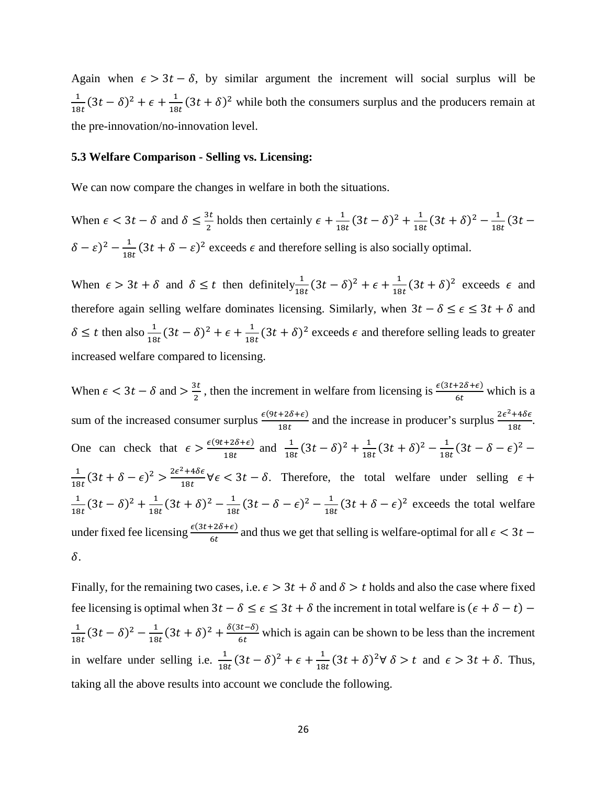Again when  $\epsilon > 3t - \delta$ , by similar argument the increment will social surplus will be 1  $\frac{1}{18t}(3t-\delta)^2 + \epsilon + \frac{1}{18t}(3t+\delta)^2$  while both the consumers surplus and the producers remain at the pre-innovation/no-innovation level.

#### **5.3 Welfare Comparison - Selling vs. Licensing:**

We can now compare the changes in welfare in both the situations.

When  $\epsilon < 3t - \delta$  and  $\delta \leq \frac{3t}{2}$  holds then certainly  $\epsilon + \frac{1}{18t}(3t - \delta)^2 + \frac{1}{18t}(3t + \delta)^2 - \frac{1}{18t}(3t - \delta)^3$  $(\delta - \varepsilon)^2 - \frac{1}{18t} (3t + \delta - \varepsilon)^2$  exceeds  $\epsilon$  and therefore selling is also socially optimal.

When  $\epsilon > 3t + \delta$  and  $\delta \le t$  then definitely $\frac{1}{18t}(3t - \delta)^2 + \epsilon + \frac{1}{18t}(3t + \delta)^2$  exceeds  $\epsilon$  and therefore again selling welfare dominates licensing. Similarly, when  $3t - \delta \le \epsilon \le 3t + \delta$  and  $\delta \le t$  then also  $\frac{1}{18t}(3t-\delta)^2 + \epsilon + \frac{1}{18t}(3t+\delta)^2$  exceeds  $\epsilon$  and therefore selling leads to greater increased welfare compared to licensing.

When  $\epsilon < 3t - \delta$  and  $> \frac{3t}{2}$ , then the increment in welfare from licensing is  $\frac{\epsilon(3t + 2\delta + \epsilon)}{6t}$  which is a sum of the increased consumer surplus  $\frac{\epsilon(9t+2\delta+\epsilon)}{18t}$  and the increase in producer's surplus  $\frac{2\epsilon^2+4\delta\epsilon}{18t}$ . One can check that  $\epsilon > \frac{\epsilon(9t+2\delta+\epsilon)}{18t}$  and  $\frac{1}{18t}(3t-\delta)^2 + \frac{1}{18t}(3t+\delta)^2 - \frac{1}{18t}(3t-\delta-\epsilon)^2$ 1  $\frac{1}{18t}(3t+\delta-\epsilon)^2 > \frac{2\epsilon^2+4\delta}{18t}$  $\frac{1406}{18t}$   $\forall \epsilon < 3t - \delta$ . Therefore, the total welfare under selling  $\epsilon$  +  $\overline{1}$  $\frac{1}{18t}(3t-\delta)^2 + \frac{1}{18t}(3t+\delta)^2 - \frac{1}{18t}(3t-\delta-\epsilon)^2 - \frac{1}{18t}(3t+\delta-\epsilon)^2$  exceeds the total welfare under fixed fee licensing  $\frac{\epsilon(3t+2\delta+\epsilon)}{6t}$  and thus we get that selling is welfare-optimal for all  $\epsilon < 3t$  –  $\delta$ .

Finally, for the remaining two cases, i.e.  $\epsilon > 3t + \delta$  and  $\delta > t$  holds and also the case where fixed fee licensing is optimal when  $3t - \delta \le \epsilon \le 3t + \delta$  the increment in total welfare is  $(\epsilon + \delta - t)$  –  $\overline{1}$  $\frac{1}{18t}(3t-\delta)^2 - \frac{1}{18t}(3t+\delta)^2 + \frac{\delta(3t-\delta)}{6t}$  which is again can be shown to be less than the increment in welfare under selling i.e.  $\frac{1}{18t}(3t-\delta)^2 + \epsilon + \frac{1}{18t}(3t+\delta)^2 \forall \delta > t$  and  $\epsilon > 3t + \delta$ . Thus, taking all the above results into account we conclude the following.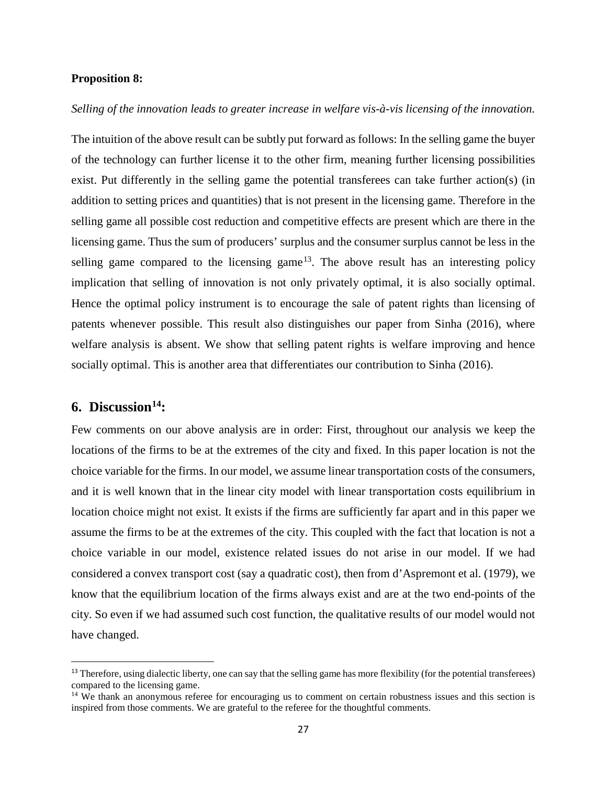#### **Proposition 8:**

#### *Selling of the innovation leads to greater increase in welfare vis-à-vis licensing of the innovation.*

The intuition of the above result can be subtly put forward as follows: In the selling game the buyer of the technology can further license it to the other firm, meaning further licensing possibilities exist. Put differently in the selling game the potential transferees can take further action(s) (in addition to setting prices and quantities) that is not present in the licensing game. Therefore in the selling game all possible cost reduction and competitive effects are present which are there in the licensing game. Thus the sum of producers' surplus and the consumer surplus cannot be less in the selling game compared to the licensing game<sup>[13](#page-29-0)</sup>. The above result has an interesting policy implication that selling of innovation is not only privately optimal, it is also socially optimal. Hence the optimal policy instrument is to encourage the sale of patent rights than licensing of patents whenever possible. This result also distinguishes our paper from Sinha (2016), where welfare analysis is absent. We show that selling patent rights is welfare improving and hence socially optimal. This is another area that differentiates our contribution to Sinha (2016).

## **6. Discussio[n14:](#page-29-1)**

Few comments on our above analysis are in order: First, throughout our analysis we keep the locations of the firms to be at the extremes of the city and fixed. In this paper location is not the choice variable for the firms. In our model, we assume linear transportation costs of the consumers, and it is well known that in the linear city model with linear transportation costs equilibrium in location choice might not exist. It exists if the firms are sufficiently far apart and in this paper we assume the firms to be at the extremes of the city. This coupled with the fact that location is not a choice variable in our model, existence related issues do not arise in our model. If we had considered a convex transport cost (say a quadratic cost), then from d'Aspremont et al. (1979), we know that the equilibrium location of the firms always exist and are at the two end-points of the city. So even if we had assumed such cost function, the qualitative results of our model would not have changed.

<span id="page-29-0"></span> $13$  Therefore, using dialectic liberty, one can say that the selling game has more flexibility (for the potential transferees) compared to the licensing game.

<span id="page-29-1"></span><sup>&</sup>lt;sup>14</sup> We thank an anonymous referee for encouraging us to comment on certain robustness issues and this section is inspired from those comments. We are grateful to the referee for the thoughtful comments.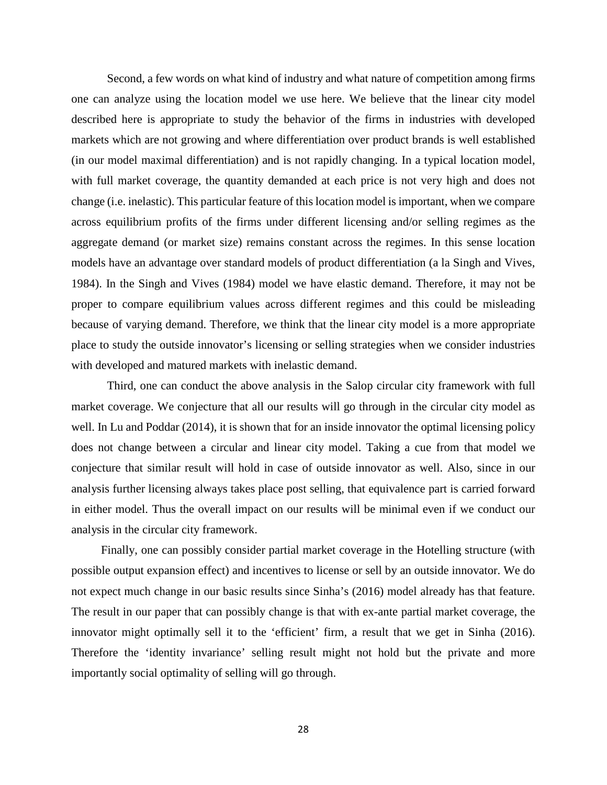Second, a few words on what kind of industry and what nature of competition among firms one can analyze using the location model we use here. We believe that the linear city model described here is appropriate to study the behavior of the firms in industries with developed markets which are not growing and where differentiation over product brands is well established (in our model maximal differentiation) and is not rapidly changing. In a typical location model, with full market coverage, the quantity demanded at each price is not very high and does not change (i.e. inelastic). This particular feature of this location model is important, when we compare across equilibrium profits of the firms under different licensing and/or selling regimes as the aggregate demand (or market size) remains constant across the regimes. In this sense location models have an advantage over standard models of product differentiation (a la Singh and Vives, 1984). In the Singh and Vives (1984) model we have elastic demand. Therefore, it may not be proper to compare equilibrium values across different regimes and this could be misleading because of varying demand. Therefore, we think that the linear city model is a more appropriate place to study the outside innovator's licensing or selling strategies when we consider industries with developed and matured markets with inelastic demand.

Third, one can conduct the above analysis in the Salop circular city framework with full market coverage. We conjecture that all our results will go through in the circular city model as well. In Lu and Poddar (2014), it is shown that for an inside innovator the optimal licensing policy does not change between a circular and linear city model. Taking a cue from that model we conjecture that similar result will hold in case of outside innovator as well. Also, since in our analysis further licensing always takes place post selling, that equivalence part is carried forward in either model. Thus the overall impact on our results will be minimal even if we conduct our analysis in the circular city framework.

 Finally, one can possibly consider partial market coverage in the Hotelling structure (with possible output expansion effect) and incentives to license or sell by an outside innovator. We do not expect much change in our basic results since Sinha's (2016) model already has that feature. The result in our paper that can possibly change is that with ex-ante partial market coverage, the innovator might optimally sell it to the 'efficient' firm, a result that we get in Sinha (2016). Therefore the 'identity invariance' selling result might not hold but the private and more importantly social optimality of selling will go through.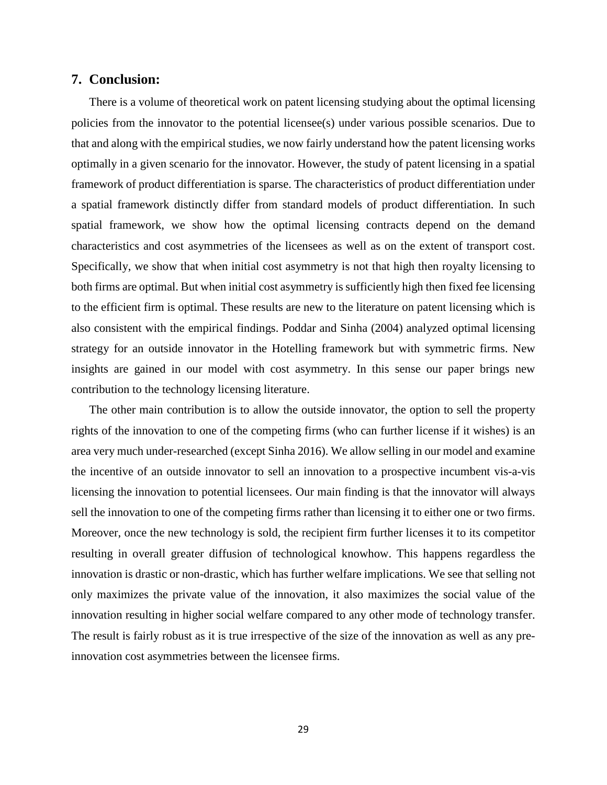#### **7. Conclusion:**

There is a volume of theoretical work on patent licensing studying about the optimal licensing policies from the innovator to the potential licensee(s) under various possible scenarios. Due to that and along with the empirical studies, we now fairly understand how the patent licensing works optimally in a given scenario for the innovator. However, the study of patent licensing in a spatial framework of product differentiation is sparse. The characteristics of product differentiation under a spatial framework distinctly differ from standard models of product differentiation. In such spatial framework, we show how the optimal licensing contracts depend on the demand characteristics and cost asymmetries of the licensees as well as on the extent of transport cost. Specifically, we show that when initial cost asymmetry is not that high then royalty licensing to both firms are optimal. But when initial cost asymmetry is sufficiently high then fixed fee licensing to the efficient firm is optimal. These results are new to the literature on patent licensing which is also consistent with the empirical findings. Poddar and Sinha (2004) analyzed optimal licensing strategy for an outside innovator in the Hotelling framework but with symmetric firms. New insights are gained in our model with cost asymmetry. In this sense our paper brings new contribution to the technology licensing literature.

The other main contribution is to allow the outside innovator, the option to sell the property rights of the innovation to one of the competing firms (who can further license if it wishes) is an area very much under-researched (except Sinha 2016). We allow selling in our model and examine the incentive of an outside innovator to sell an innovation to a prospective incumbent vis-a-vis licensing the innovation to potential licensees. Our main finding is that the innovator will always sell the innovation to one of the competing firms rather than licensing it to either one or two firms. Moreover, once the new technology is sold, the recipient firm further licenses it to its competitor resulting in overall greater diffusion of technological knowhow. This happens regardless the innovation is drastic or non-drastic, which has further welfare implications. We see that selling not only maximizes the private value of the innovation, it also maximizes the social value of the innovation resulting in higher social welfare compared to any other mode of technology transfer. The result is fairly robust as it is true irrespective of the size of the innovation as well as any preinnovation cost asymmetries between the licensee firms.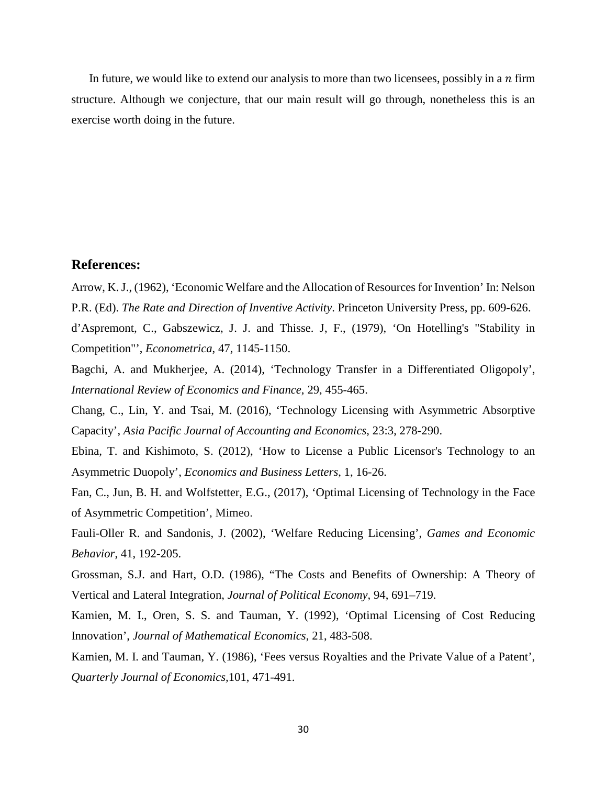In future, we would like to extend our analysis to more than two licensees, possibly in a  $n$  firm structure. Although we conjecture, that our main result will go through, nonetheless this is an exercise worth doing in the future.

### **References:**

- Arrow, K. J., (1962), 'Economic Welfare and the Allocation of Resources for Invention' In: Nelson
- P.R. (Ed). *The Rate and Direction of Inventive Activity*. Princeton University Press, pp. 609-626.

d'Aspremont, C., Gabszewicz, J. J. and Thisse. J, F., (1979), 'On Hotelling's "Stability in Competition"', *Econometrica*, 47, 1145-1150.

Bagchi, A. and Mukherjee, A. (2014), 'Technology Transfer in a Differentiated Oligopoly', *International Review of Economics and Finance*, 29, 455-465.

Chang, C., Lin, Y. and Tsai, M. (2016), 'Technology Licensing with Asymmetric Absorptive Capacity', *Asia Pacific Journal of Accounting and Economics,* 23:3, 278-290.

Ebina, T. and Kishimoto, S. (2012), 'How to License a Public Licensor's Technology to an Asymmetric Duopoly', *Economics and Business Letters*, 1, 16-26.

Fan, C., Jun, B. H. and Wolfstetter, E.G., (2017), 'Optimal Licensing of Technology in the Face of Asymmetric Competition', Mimeo.

Fauli-Oller R. and Sandonis, J. (2002), 'Welfare Reducing Licensing', *Games and Economic Behavior*, 41, 192-205.

Grossman, S.J. and Hart, O.D. (1986), "The Costs and Benefits of Ownership: A Theory of Vertical and Lateral Integration, *Journal of Political Economy,* 94, 691–719.

Kamien, M. I., Oren, S. S. and Tauman, Y. (1992), 'Optimal Licensing of Cost Reducing Innovation', *Journal of Mathematical Economics*, 21, 483-508.

Kamien, M. I. and Tauman, Y. (1986), 'Fees versus Royalties and the Private Value of a Patent', *Quarterly Journal of Economics,*101, 471-491.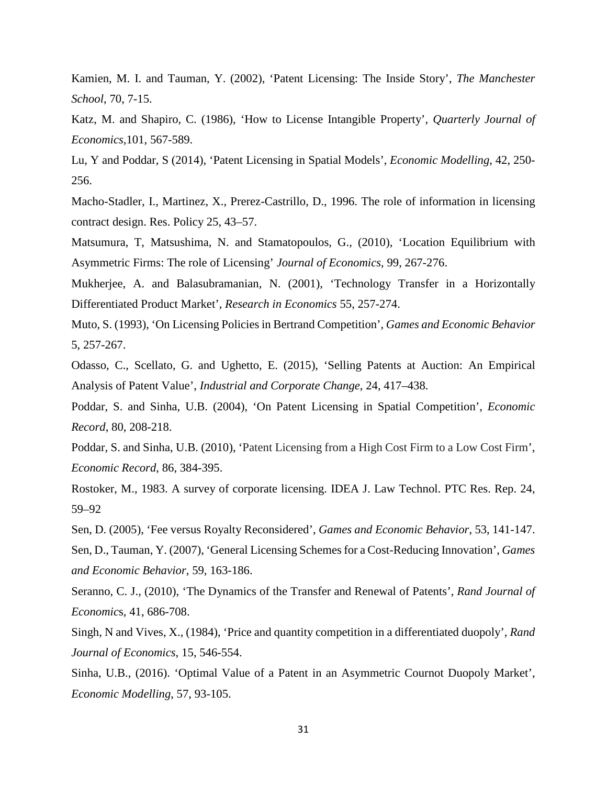Kamien, M. I. and Tauman, Y. (2002), 'Patent Licensing: The Inside Story', *The Manchester School*, 70, 7-15.

Katz, M. and Shapiro, C. (1986), 'How to License Intangible Property', *Quarterly Journal of Economics,*101, 567-589.

Lu, Y and Poddar, S (2014), 'Patent Licensing in Spatial Models', *Economic Modelling*, 42, 250- 256.

Macho-Stadler, I., Martinez, X., Prerez-Castrillo, D., 1996. The role of information in licensing contract design. Res. Policy 25, 43–57.

Matsumura, T, Matsushima, N. and Stamatopoulos, G., (2010), 'Location Equilibrium with Asymmetric Firms: The role of Licensing' *Journal of Economics*, 99, 267-276.

Mukherjee, A. and Balasubramanian, N. (2001), 'Technology Transfer in a Horizontally Differentiated Product Market', *Research in Economics* 55, 257-274.

Muto, S. (1993), 'On Licensing Policies in Bertrand Competition', *Games and Economic Behavior* 5, 257-267.

Odasso, C., Scellato, G. and Ughetto, E. (2015), 'Selling Patents at Auction: An Empirical Analysis of Patent Value', *Industrial and Corporate Change*, 24, 417–438.

Poddar, S. and Sinha, U.B. (2004), 'On Patent Licensing in Spatial Competition', *Economic Record*, 80, 208-218.

Poddar, S. and Sinha, U.B. (2010), 'Patent Licensing from a High Cost Firm to a Low Cost Firm', *Economic Record*, 86, 384-395.

Rostoker, M., 1983. A survey of corporate licensing. IDEA J. Law Technol. PTC Res. Rep. 24, 59–92

Sen, D. (2005), 'Fee versus Royalty Reconsidered', *Games and Economic Behavior*, 53, 141-147.

Sen, D., Tauman, Y. (2007), 'General Licensing Schemes for a Cost-Reducing Innovation', *Games and Economic Behavior*, 59, 163-186.

Seranno, C. J., (2010), 'The Dynamics of the Transfer and Renewal of Patents'*, Rand Journal of Economic*s, 41, 686-708.

Singh, N and Vives, X., (1984), 'Price and quantity competition in a differentiated duopoly', *Rand Journal of Economics*, 15, 546-554.

Sinha, U.B., (2016). 'Optimal Value of a Patent in an Asymmetric Cournot Duopoly Market', *Economic Modelling*, 57, 93-105.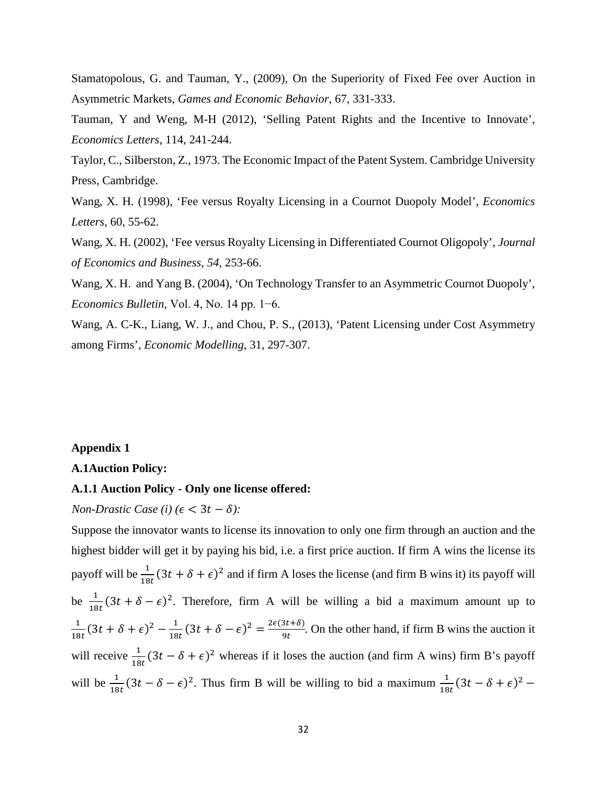Stamatopolous, G. and Tauman, Y., (2009), On the Superiority of Fixed Fee over Auction in Asymmetric Markets, *Games and Economic Behavior*, 67, 331-333.

Tauman, Y and Weng, M-H (2012), 'Selling Patent Rights and the Incentive to Innovate', *Economics Letters*, 114, 241-244.

Taylor, C., Silberston, Z., 1973. The Economic Impact of the Patent System. Cambridge University Press, Cambridge.

Wang, X. H. (1998), 'Fee versus Royalty Licensing in a Cournot Duopoly Model', *Economics Letters,* 60, 55-62.

Wang, X. H. (2002), 'Fee versus Royalty Licensing in Differentiated Cournot Oligopoly', *Journal of Economics and Business, 54*, 253-66.

Wang, X. H. and Yang B. (2004), 'On Technology Transfer to an Asymmetric Cournot Duopoly', *Economics Bulletin,* Vol. 4, No. 14 pp. 1−6.

Wang, A. C-K., Liang, W. J., and Chou, P. S., (2013), 'Patent Licensing under Cost Asymmetry among Firms', *Economic Modelling*, 31, 297-307.

#### **Appendix 1**

#### **A.1Auction Policy:**

#### **A.1.1 Auction Policy - Only one license offered:**

*Non-Drastic Case (i)* ( $\epsilon$  < 3t –  $\delta$ ):

Suppose the innovator wants to license its innovation to only one firm through an auction and the highest bidder will get it by paying his bid, i.e. a first price auction. If firm A wins the license its payoff will be  $\frac{1}{18t}(3t + \delta + \epsilon)^2$  and if firm A loses the license (and firm B wins it) its payoff will be  $\frac{1}{18t}(3t + \delta - \epsilon)^2$ . Therefore, firm A will be willing a bid a maximum amount up to 1  $\frac{1}{18t}(3t+\delta+\epsilon)^2 - \frac{1}{18t}(3t+\delta-\epsilon)^2 = \frac{2\epsilon(3t+\delta)}{9t}$ . On the other hand, if firm B wins the auction it will receive  $\frac{1}{18t}(3t - \delta + \epsilon)^2$  whereas if it loses the auction (and firm A wins) firm B's payoff will be  $\frac{1}{18t}(3t-\delta-\epsilon)^2$ . Thus firm B will be willing to bid a maximum  $\frac{1}{18t}(3t-\delta+\epsilon)^2$  –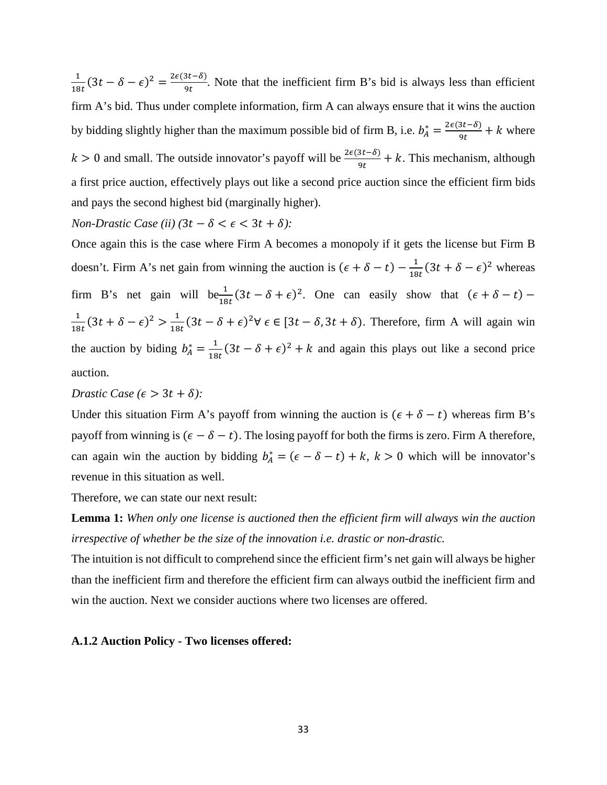$\overline{1}$  $\frac{1}{18t}(3t-\delta-\epsilon)^2 = \frac{2\epsilon(3t-\delta)}{9t}$ . Note that the inefficient firm B's bid is always less than efficient firm A's bid. Thus under complete information, firm A can always ensure that it wins the auction by bidding slightly higher than the maximum possible bid of firm B, i.e.  $b_A^* = \frac{2\epsilon(3t-\delta)}{9t} + k$  where  $k > 0$  and small. The outside innovator's payoff will be  $\frac{2\epsilon(3t-\delta)}{9t} + k$ . This mechanism, although a first price auction, effectively plays out like a second price auction since the efficient firm bids and pays the second highest bid (marginally higher).

$$
Non-Drastic Case (ii) (3t - \delta < \epsilon < 3t + \delta).
$$

Once again this is the case where Firm A becomes a monopoly if it gets the license but Firm B doesn't. Firm A's net gain from winning the auction is  $(\epsilon + \delta - t) - \frac{1}{18t}(3t + \delta - \epsilon)^2$  whereas firm B's net gain will be $\frac{1}{18t}(3t-\delta+\epsilon)^2$ . One can easily show that  $(\epsilon+\delta-t)$  – 1  $\frac{1}{18t}(3t + \delta - \epsilon)^2 > \frac{1}{18}$  $\frac{1}{18t}$  (3*t* − δ +  $\epsilon$ )<sup>2</sup>∀  $\epsilon$  ∈ [3*t* − δ, 3*t* + δ). Therefore, firm A will again win the auction by biding  $b_A^* = \frac{1}{18t}(3t - \delta + \epsilon)^2 + k$  and again this plays out like a second price auction.

#### *Drastic Case* ( $\epsilon > 3t + \delta$ ):

Under this situation Firm A's payoff from winning the auction is  $(\epsilon + \delta - t)$  whereas firm B's payoff from winning is  $(\epsilon - \delta - t)$ . The losing payoff for both the firms is zero. Firm A therefore, can again win the auction by bidding  $b_A^* = (\epsilon - \delta - t) + k$ ,  $k > 0$  which will be innovator's revenue in this situation as well.

Therefore, we can state our next result:

**Lemma 1:** *When only one license is auctioned then the efficient firm will always win the auction irrespective of whether be the size of the innovation i.e. drastic or non-drastic.*

The intuition is not difficult to comprehend since the efficient firm's net gain will always be higher than the inefficient firm and therefore the efficient firm can always outbid the inefficient firm and win the auction. Next we consider auctions where two licenses are offered.

#### **A.1.2 Auction Policy - Two licenses offered:**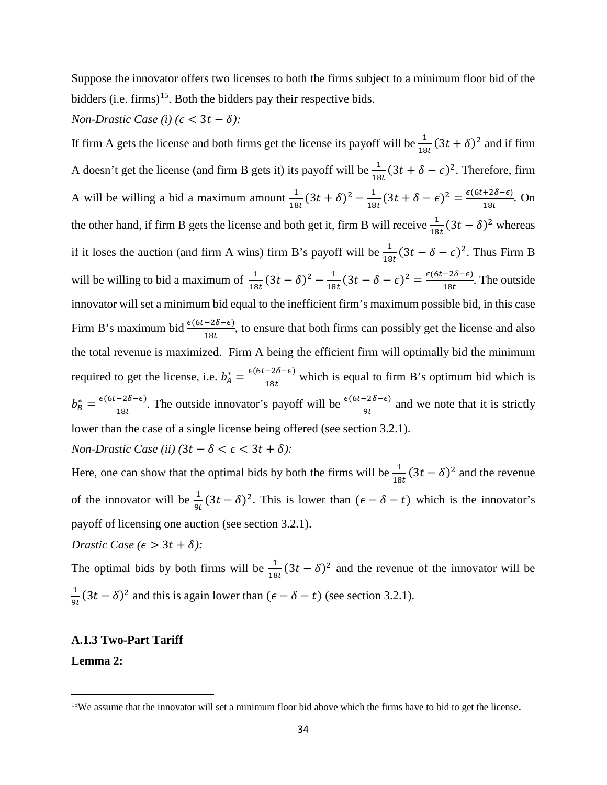Suppose the innovator offers two licenses to both the firms subject to a minimum floor bid of the bidders (i.e. firms)<sup>[15](#page-36-0)</sup>. Both the bidders pay their respective bids.

$$
Non-Drastic Case (i) (\epsilon < 3t - \delta):
$$

If firm A gets the license and both firms get the license its payoff will be  $\frac{1}{18t}(3t + \delta)^2$  and if firm A doesn't get the license (and firm B gets it) its payoff will be  $\frac{1}{18t}(3t + \delta - \epsilon)^2$ . Therefore, firm A will be willing a bid a maximum amount  $\frac{1}{18t}(3t+\delta)^2 - \frac{1}{18t}(3t+\delta-\epsilon)^2 = \frac{\epsilon(6t+2\delta-\epsilon)}{18t}$ . On the other hand, if firm B gets the license and both get it, firm B will receive  $\frac{1}{18t}(3t - \delta)^2$  whereas if it loses the auction (and firm A wins) firm B's payoff will be  $\frac{1}{18t}(3t - \delta - \epsilon)^2$ . Thus Firm B will be willing to bid a maximum of  $\frac{1}{18t}(3t-\delta)^2 - \frac{1}{18t}(3t-\delta-\epsilon)^2 = \frac{\epsilon(6t-2\delta-\epsilon)}{18t}$ . The outside innovator will set a minimum bid equal to the inefficient firm's maximum possible bid, in this case Firm B's maximum bid  $\frac{\epsilon(6t-2\delta-\epsilon)}{18t}$ , to ensure that both firms can possibly get the license and also the total revenue is maximized. Firm A being the efficient firm will optimally bid the minimum required to get the license, i.e.  $b_A^* = \frac{\epsilon (6t - 2\delta - \epsilon)}{18t}$  which is equal to firm B's optimum bid which is  $b_B^* = \frac{\epsilon (6t - 2\delta - \epsilon)}{18t}$ . The outside innovator's payoff will be  $\frac{\epsilon (6t - 2\delta - \epsilon)}{9t}$  and we note that it is strictly lower than the case of a single license being offered (see section 3.2.1). *Non-Drastic Case (ii)*  $(3t - \delta < \epsilon < 3t + \delta)$ :

Here, one can show that the optimal bids by both the firms will be  $\frac{1}{18t}(3t - \delta)^2$  and the revenue of the innovator will be  $\frac{1}{9t}(3t-\delta)^2$ . This is lower than  $(\epsilon-\delta-t)$  which is the innovator's payoff of licensing one auction (see section 3.2.1).

*Drastic Case* ( $\epsilon > 3t + \delta$ ):

The optimal bids by both firms will be  $\frac{1}{18t}(3t-\delta)^2$  and the revenue of the innovator will be 1  $\frac{1}{9t}(3t-\delta)^2$  and this is again lower than  $(\epsilon-\delta-t)$  (see section 3.2.1).

## **A.1.3 Two-Part Tariff**

**Lemma 2:**

 $\overline{\phantom{a}}$ 

<span id="page-36-0"></span><sup>&</sup>lt;sup>15</sup>We assume that the innovator will set a minimum floor bid above which the firms have to bid to get the license.